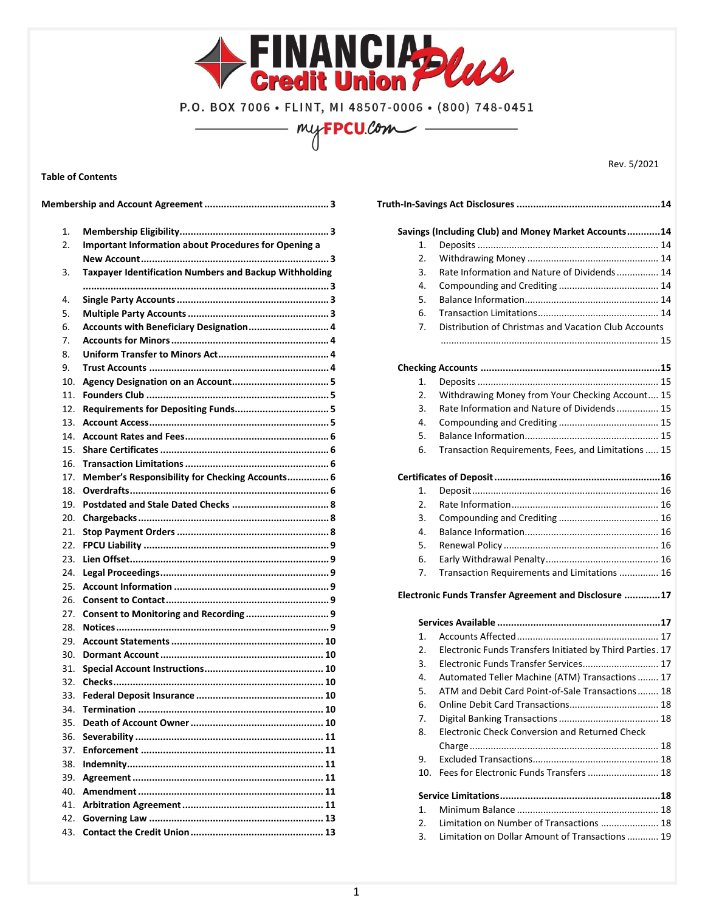

P.O. BOX 7006 · FLINT, MI 48507-0006 · (800) 748-0451 my**FPCU**.com

**Table of Contents**

**Membership and Account Agreement............................................. 3** 1. **Membership Eligibility...................................................... 3** 2. **Important Information about Procedures for Opening a New Account.................................................................... 3** 3. **Taxpayer Identification Numbers and Backup Withholding ......................................................................................... 3** 4. **Single Party Accounts....................................................... 3** 5. **Multiple Party Accounts................................................... 3** 6. **Accounts with Beneficiary Designation............................. 4** 7. **Accounts for Minors......................................................... 4** 8. **Uniform Transfer to Minors Act........................................ 4** 9. **Trust Accounts ................................................................. 4** 10. **Agency Designation on an Account................................... 5** 11. **Founders Club .................................................................. 5** 12. **Requirements for Depositing Funds.................................. 5** 13. **Account Access................................................................. 5** 14. **Account Rates and Fees.................................................... 6** 15. **Share Certificates............................................................. 6** 16. **Transaction Limitations.................................................... 6** 17. **Member's Responsibility for Checking Accounts............... 6** 18. **Overdrafts........................................................................ 6** 19. **Postdated and Stale Dated Checks ................................... 8** 20. **Chargebacks..................................................................... 8** 21. **Stop Payment Orders....................................................... 8** 22. **FPCU Liability ................................................................... 9** 23. **Lien Offset........................................................................ 9** 24. **Legal Proceedings............................................................. 9** 25. **Account Information ........................................................ 9** 26. **Consent to Contact........................................................... 9** 27. **Consent to Monitoring and Recording .............................. 9** 28. **Notices............................................................................. 9** 29. **Account Statements....................................................... 10** 30. **Dormant Account........................................................... 10** 31. **Special Account Instructions........................................... 10** 32. **Checks............................................................................ 10** 33. **Federal Deposit Insurance .............................................. 10** 34. **Termination ................................................................... 10** 35. **Death of Account Owner................................................ 10** 36. **Severability .................................................................... 11** 37. **Enforcement .................................................................. 11** 38. **Indemnity....................................................................... 11** 39. **Agreement..................................................................... 11** 40. **Amendment................................................................... 11** 41. **Arbitration Agreement................................................... 11** 42. **Governing Law ............................................................... 13** 43. **Contact the Credit Union................................................ 13** **Truth-In-Savings Act Disclosures ....................................................14 Savings (Including Club) and Money Market Accounts............14** 1. Deposits ..................................................................... 14 2. Withdrawing Money .................................................. 14 3. Rate Information and Nature of Dividends................ 14 4. Compounding and Crediting ...................................... 14 5. Balance Information................................................... 14 6. Transaction Limitations.............................................. 14 7. Distribution of Christmas and Vacation Club Accounts ................................................................................... 15 **Checking Accounts .................................................................15** 1. Deposits ..................................................................... 15 2. Withdrawing Money from Your Checking Account.... 15 3. Rate Information and Nature of Dividends................ 15 4. Compounding and Crediting ...................................... 15 5. Balance Information................................................... 15 6. Transaction Requirements, Fees, and Limitations..... 15 **Certificates of Deposit............................................................16** 1. Deposit....................................................................... 16 2. Rate Information........................................................ 16 3. Compounding and Crediting ...................................... 16 4. Balance Information................................................... 16 5. Renewal Policy ........................................................... 16 6. Early Withdrawal Penalty........................................... 16 7. Transaction Requirements and Limitations ............... 16 **Electronic Funds Transfer Agreement and Disclosure .............17 Services Available ...........................................................17** 1. Accounts Affected...................................................... 17 2. Electronic Funds Transfers Initiated by Third Parties. 17 3. Electronic Funds Transfer Services............................. 17 4. Automated Teller Machine (ATM) Transactions........ 17 5. ATM and Debit Card Point-of-Sale Transactions........ 18 6. Online Debit Card Transactions.................................. 18 7. Digital Banking Transactions...................................... 18 8. Electronic Check Conversion and Returned Check Charge........................................................................ 18 9. Excluded Transactions................................................ 18 10. Fees for Electronic Funds Transfers........................... 18 **Service Limitations..........................................................18** 1. Minimum Balance ...................................................... 18 2. Limitation on Number of Transactions ...................... 18 3. Limitation on Dollar Amount of Transactions............ 19

Rev. 5/2021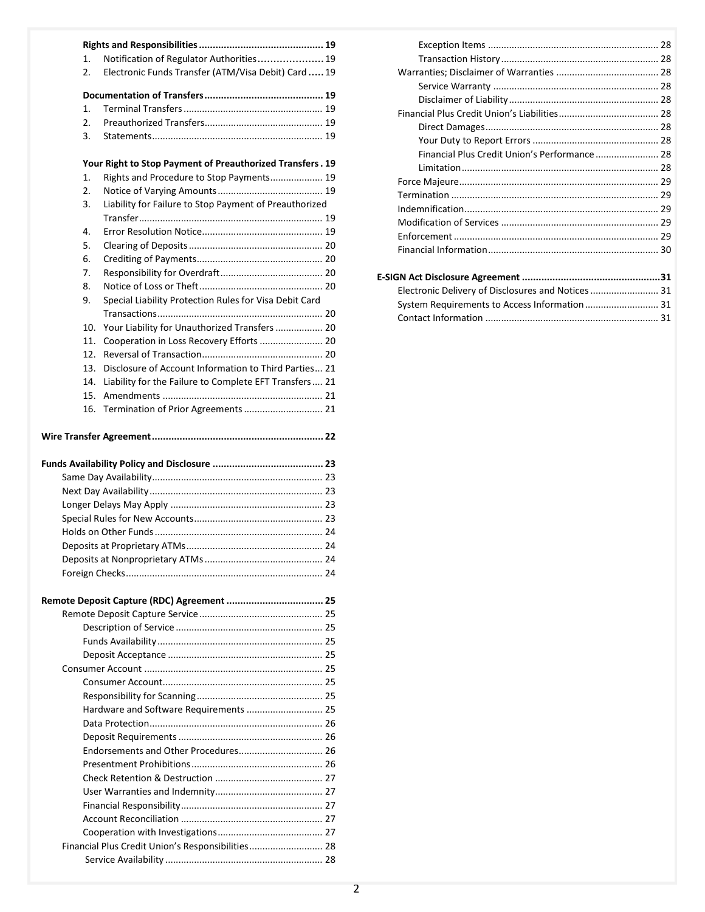| 1.  | Notification of Regulator Authorities 19                  |
|-----|-----------------------------------------------------------|
| 2.  | Electronic Funds Transfer (ATM/Visa Debit) Card  19       |
|     |                                                           |
|     |                                                           |
| 1.  |                                                           |
| 2.  |                                                           |
| 3.  |                                                           |
|     |                                                           |
|     | Your Right to Stop Payment of Preauthorized Transfers. 19 |
| 1.  | Rights and Procedure to Stop Payments 19                  |
| 2.  |                                                           |
| 3.  | Liability for Failure to Stop Payment of Preauthorized    |
|     |                                                           |
| 4.  |                                                           |
| 5.  |                                                           |
| 6.  |                                                           |
| 7.  |                                                           |
| 8.  |                                                           |
|     |                                                           |
| 9.  | Special Liability Protection Rules for Visa Debit Card    |
|     |                                                           |
| 10. | Your Liability for Unauthorized Transfers  20             |
| 11. | Cooperation in Loss Recovery Efforts  20                  |
| 12. |                                                           |
| 13. | Disclosure of Account Information to Third Parties 21     |
| 14. | Liability for the Failure to Complete EFT Transfers 21    |
| 15. |                                                           |
| 16. | Termination of Prior Agreements  21                       |
|     |                                                           |
|     |                                                           |
|     |                                                           |
|     |                                                           |
|     |                                                           |
|     |                                                           |
|     |                                                           |
|     |                                                           |
|     | Deposits at Proprietary ATMs                              |
|     |                                                           |
|     |                                                           |
|     |                                                           |
|     |                                                           |
|     |                                                           |
|     |                                                           |
|     |                                                           |
|     |                                                           |
|     |                                                           |
|     |                                                           |
|     |                                                           |
|     | Hardware and Software Requirements  25                    |
|     |                                                           |
|     |                                                           |
|     |                                                           |
|     |                                                           |
|     |                                                           |
|     |                                                           |
|     |                                                           |
|     |                                                           |
|     |                                                           |
|     | Financial Plus Credit Union's Responsibilities 28         |

| Financial Plus Credit Union's Performance 28       |
|----------------------------------------------------|
|                                                    |
|                                                    |
|                                                    |
|                                                    |
|                                                    |
|                                                    |
|                                                    |
|                                                    |
|                                                    |
| Electronic Delivery of Disclosures and Notices  31 |
|                                                    |
|                                                    |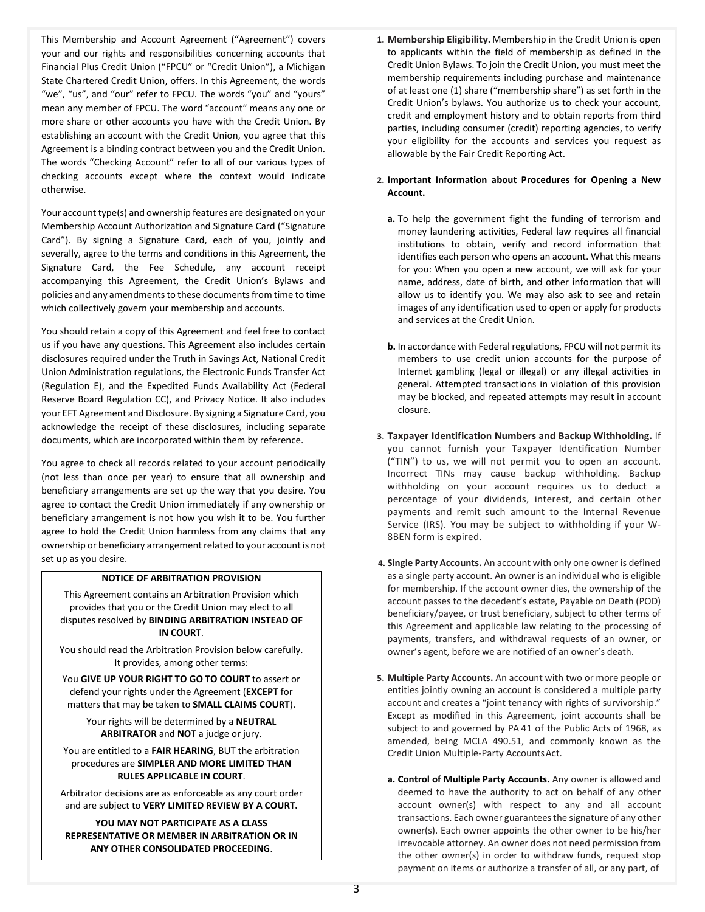This Membership and Account Agreement ("Agreement") covers your and our rights and responsibilities concerning accounts that Financial Plus Credit Union ("FPCU" or "Credit Union"), a Michigan State Chartered Credit Union, offers. In this Agreement, the words "we", "us", and "our" refer to FPCU. The words "you" and "yours" mean any member of FPCU. The word "account" means any one or more share or other accounts you have with the Credit Union. By establishing an account with the Credit Union, you agree that this Agreement is a binding contract between you and the Credit Union. The words "Checking Account" refer to all of our various types of checking accounts except where the context would indicate otherwise.

Your account type(s) and ownership features are designated on your Membership Account Authorization and Signature Card ("Signature Card"). By signing a Signature Card, each of you, jointly and severally, agree to the terms and conditions in this Agreement, the Signature Card, the Fee Schedule, any account receipt accompanying this Agreement, the Credit Union's Bylaws and policies and any amendments to these documents from time to time which collectively govern your membership and accounts.

You should retain a copy of this Agreement and feel free to contact us if you have any questions. This Agreement also includes certain disclosures required under the Truth in Savings Act, National Credit Union Administration regulations, the Electronic Funds Transfer Act (Regulation E), and the Expedited Funds Availability Act (Federal Reserve Board Regulation CC), and Privacy Notice. It also includes your EFT Agreement and Disclosure. By signing a Signature Card, you acknowledge the receipt of these disclosures, including separate documents, which are incorporated within them by reference.

You agree to check all records related to your account periodically (not less than once per year) to ensure that all ownership and beneficiary arrangements are set up the way that you desire. You agree to contact the Credit Union immediately if any ownership or beneficiary arrangement is not how you wish it to be. You further agree to hold the Credit Union harmless from any claims that any ownership or beneficiary arrangement related to your account is not set up as you desire.

# **NOTICE OF ARBITRATION PROVISION**

This Agreement contains an Arbitration Provision which provides that you or the Credit Union may elect to all disputes resolved by **BINDING ARBITRATION INSTEAD OF IN COURT**.

You should read the Arbitration Provision below carefully. It provides, among other terms:

You **GIVE UP YOUR RIGHT TO GO TO COURT** to assert or defend your rights under the Agreement (**EXCEPT** for matters that may be taken to **SMALL CLAIMS COURT**).

> Your rights will be determined by a **NEUTRAL ARBITRATOR** and **NOT** a judge or jury.

You are entitled to a **FAIR HEARING**, BUT the arbitration procedures are **SIMPLER AND MORE LIMITED THAN RULES APPLICABLE IN COURT**.

Arbitrator decisions are as enforceable as any court order and are subject to **VERY LIMITED REVIEW BY A COURT.**

**YOU MAY NOT PARTICIPATE AS A CLASS REPRESENTATIVE OR MEMBER IN ARBITRATION OR IN ANY OTHER CONSOLIDATED PROCEEDING**.

- **1. Membership Eligibility.**Membership in the Credit Union is open to applicants within the field of membership as defined in the Credit Union Bylaws. To join the Credit Union, you must meet the membership requirements including purchase and maintenance of at least one (1) share ("membership share") as set forth in the Credit Union's bylaws. You authorize us to check your account, credit and employment history and to obtain reports from third parties, including consumer (credit) reporting agencies, to verify your eligibility for the accounts and services you request as allowable by the Fair Credit Reporting Act.
- **2. Important Information about Procedures for Opening a New Account.** 
	- **a.** To help the government fight the funding of terrorism and money laundering activities, Federal law requires all financial institutions to obtain, verify and record information that identifies each person who opens an account. What this means for you: When you open a new account, we will ask for your name, address, date of birth, and other information that will allow us to identify you. We may also ask to see and retain images of any identification used to open or apply for products and services at the Credit Union.
	- **b.** In accordance with Federal regulations, FPCU will not permit its members to use credit union accounts for the purpose of Internet gambling (legal or illegal) or any illegal activities in general. Attempted transactions in violation of this provision may be blocked, and repeated attempts may result in account closure.
- **3. Taxpayer Identification Numbers and Backup Withholding.** If you cannot furnish your Taxpayer Identification Number ("TIN") to us, we will not permit you to open an account. Incorrect TINs may cause backup withholding. Backup withholding on your account requires us to deduct a percentage of your dividends, interest, and certain other payments and remit such amount to the Internal Revenue Service (IRS). You may be subject to withholding if your W-8BEN form is expired.
- **4. Single Party Accounts.** An account with only one owner is defined as a single party account. An owner is an individual who is eligible for membership. If the account owner dies, the ownership of the account passes to the decedent's estate, Payable on Death (POD) beneficiary/payee, or trust beneficiary, subject to other terms of this Agreement and applicable law relating to the processing of payments, transfers, and withdrawal requests of an owner, or owner's agent, before we are notified of an owner's death.
- **5. Multiple Party Accounts.** An account with two or more people or entities jointly owning an account is considered a multiple party account and creates a "joint tenancy with rights of survivorship." Except as modified in this Agreement, joint accounts shall be subject to and governed by PA 41 of the Public Acts of 1968, as amended, being MCLA 490.51, and commonly known as the Credit Union Multiple-Party AccountsAct.
	- **a. Control of Multiple Party Accounts.** Any owner is allowed and deemed to have the authority to act on behalf of any other account owner(s) with respect to any and all account transactions. Each owner guarantees the signature of any other owner(s). Each owner appoints the other owner to be his/her irrevocable attorney. An owner does not need permission from the other owner(s) in order to withdraw funds, request stop payment on items or authorize a transfer of all, or any part, of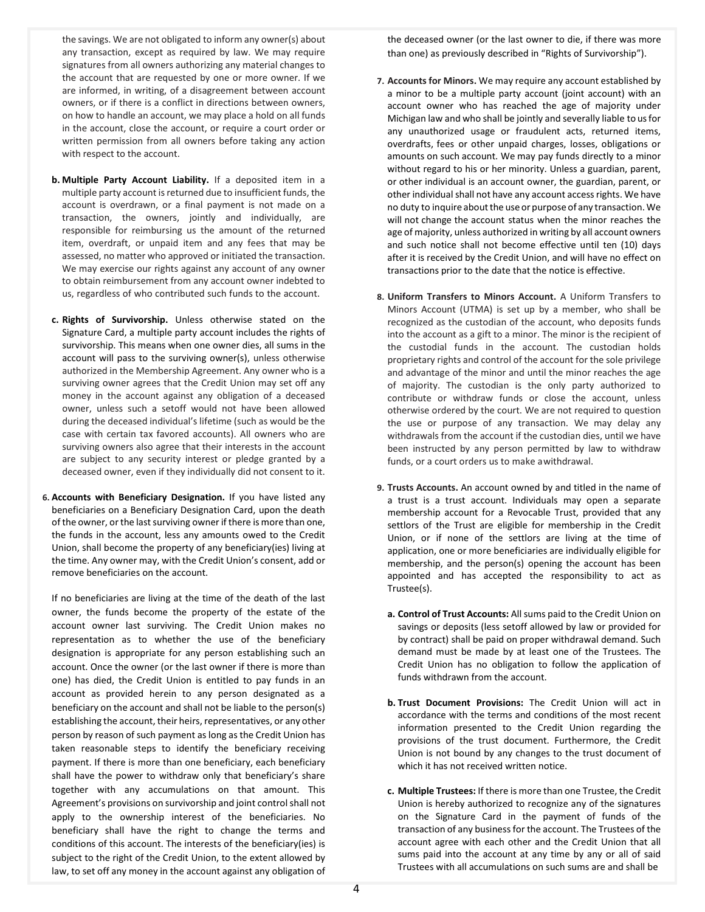the savings. We are not obligated to inform any owner(s) about any transaction, except as required by law. We may require signatures from all owners authorizing any material changes to the account that are requested by one or more owner. If we are informed, in writing, of a disagreement between account owners, or if there is a conflict in directions between owners, on how to handle an account, we may place a hold on all funds in the account, close the account, or require a court order or written permission from all owners before taking any action with respect to the account.

- **b. Multiple Party Account Liability.** If a deposited item in a multiple party account is returned due to insufficient funds, the account is overdrawn, or a final payment is not made on a transaction, the owners, jointly and individually, are responsible for reimbursing us the amount of the returned item, overdraft, or unpaid item and any fees that may be assessed, no matter who approved or initiated the transaction. We may exercise our rights against any account of any owner to obtain reimbursement from any account owner indebted to us, regardless of who contributed such funds to the account.
- **c. Rights of Survivorship.** Unless otherwise stated on the Signature Card, a multiple party account includes the rights of survivorship. This means when one owner dies, all sums in the account will pass to the surviving owner(s), unless otherwise authorized in the Membership Agreement. Any owner who is a surviving owner agrees that the Credit Union may set off any money in the account against any obligation of a deceased owner, unless such a setoff would not have been allowed during the deceased individual's lifetime (such as would be the case with certain tax favored accounts). All owners who are surviving owners also agree that their interests in the account are subject to any security interest or pledge granted by a deceased owner, even if they individually did not consent to it.
- **6. Accounts with Beneficiary Designation.** If you have listed any beneficiaries on a Beneficiary Designation Card, upon the death of the owner, or the last surviving owner if there is more than one, the funds in the account, less any amounts owed to the Credit Union, shall become the property of any beneficiary(ies) living at the time. Any owner may, with the Credit Union's consent, add or remove beneficiaries on the account.

If no beneficiaries are living at the time of the death of the last owner, the funds become the property of the estate of the account owner last surviving. The Credit Union makes no representation as to whether the use of the beneficiary designation is appropriate for any person establishing such an account. Once the owner (or the last owner if there is more than one) has died, the Credit Union is entitled to pay funds in an account as provided herein to any person designated as a beneficiary on the account and shall not be liable to the person(s) establishing the account, their heirs, representatives, or any other person by reason of such payment as long as the Credit Union has taken reasonable steps to identify the beneficiary receiving payment. If there is more than one beneficiary, each beneficiary shall have the power to withdraw only that beneficiary's share together with any accumulations on that amount. This Agreement's provisions on survivorship and joint control shall not apply to the ownership interest of the beneficiaries. No beneficiary shall have the right to change the terms and conditions of this account. The interests of the beneficiary(ies) is subject to the right of the Credit Union, to the extent allowed by law, to set off any money in the account against any obligation of

the deceased owner (or the last owner to die, if there was more than one) as previously described in "Rights of Survivorship").

- **7. Accounts for Minors.** We may require any account established by a minor to be a multiple party account (joint account) with an account owner who has reached the age of majority under Michigan law and who shall be jointly and severally liable to usfor any unauthorized usage or fraudulent acts, returned items, overdrafts, fees or other unpaid charges, losses, obligations or amounts on such account. We may pay funds directly to a minor without regard to his or her minority. Unless a guardian, parent, or other individual is an account owner, the guardian, parent, or other individual shall not have any account access rights. We have no duty to inquire about the use or purpose of any transaction. We will not change the account status when the minor reaches the age of majority, unless authorized in writing by all account owners and such notice shall not become effective until ten (10) days after it is received by the Credit Union, and will have no effect on transactions prior to the date that the notice is effective.
- **8. Uniform Transfers to Minors Account.** A Uniform Transfers to Minors Account (UTMA) is set up by a member, who shall be recognized as the custodian of the account, who deposits funds into the account as a gift to a minor. The minor is the recipient of the custodial funds in the account. The custodian holds proprietary rights and control of the account for the sole privilege and advantage of the minor and until the minor reaches the age of majority. The custodian is the only party authorized to contribute or withdraw funds or close the account, unless otherwise ordered by the court. We are not required to question the use or purpose of any transaction. We may delay any withdrawals from the account if the custodian dies, until we have been instructed by any person permitted by law to withdraw funds, or a court orders us to make awithdrawal.
- **9. Trusts Accounts.** An account owned by and titled in the name of a trust is a trust account. Individuals may open a separate membership account for a Revocable Trust, provided that any settlors of the Trust are eligible for membership in the Credit Union, or if none of the settlors are living at the time of application, one or more beneficiaries are individually eligible for membership, and the person(s) opening the account has been appointed and has accepted the responsibility to act as Trustee(s).
	- **a. Control of Trust Accounts:** All sums paid to the Credit Union on savings or deposits (less setoff allowed by law or provided for by contract) shall be paid on proper withdrawal demand. Such demand must be made by at least one of the Trustees. The Credit Union has no obligation to follow the application of funds withdrawn from the account.
	- **b. Trust Document Provisions:** The Credit Union will act in accordance with the terms and conditions of the most recent information presented to the Credit Union regarding the provisions of the trust document. Furthermore, the Credit Union is not bound by any changes to the trust document of which it has not received written notice.
	- **c. Multiple Trustees:** If there is more than one Trustee, the Credit Union is hereby authorized to recognize any of the signatures on the Signature Card in the payment of funds of the transaction of any business for the account. The Trustees of the account agree with each other and the Credit Union that all sums paid into the account at any time by any or all of said Trustees with all accumulations on such sums are and shall be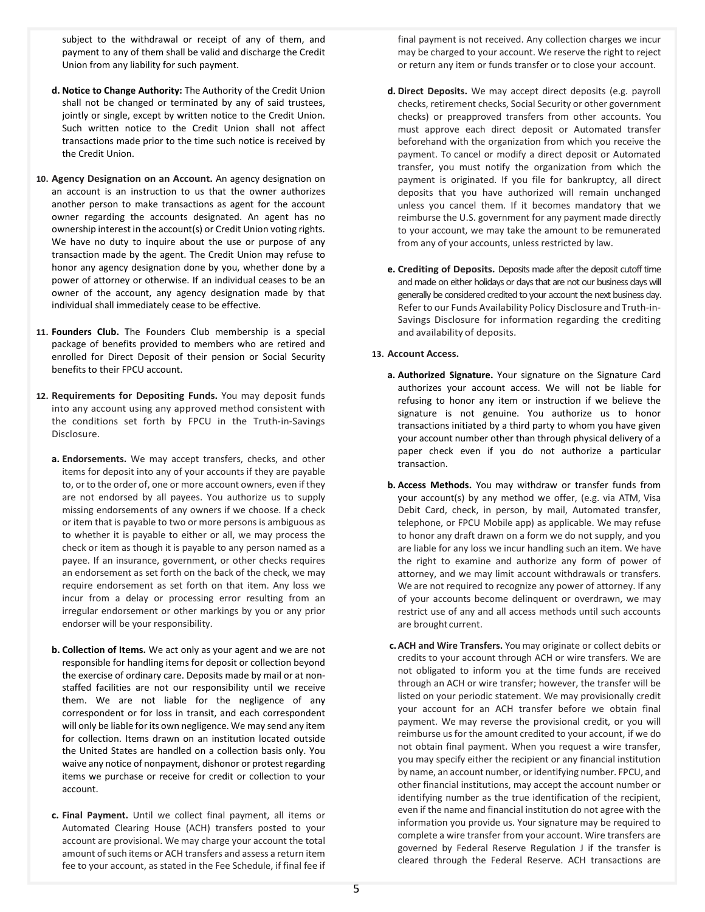subject to the withdrawal or receipt of any of them, and payment to any of them shall be valid and discharge the Credit Union from any liability for such payment.

- **d. Notice to Change Authority:** The Authority of the Credit Union shall not be changed or terminated by any of said trustees, jointly or single, except by written notice to the Credit Union. Such written notice to the Credit Union shall not affect transactions made prior to the time such notice is received by the Credit Union.
- **10. Agency Designation on an Account.** An agency designation on an account is an instruction to us that the owner authorizes another person to make transactions as agent for the account owner regarding the accounts designated. An agent has no ownership interest in the account(s) or Credit Union voting rights. We have no duty to inquire about the use or purpose of any transaction made by the agent. The Credit Union may refuse to honor any agency designation done by you, whether done by a power of attorney or otherwise. If an individual ceases to be an owner of the account, any agency designation made by that individual shall immediately cease to be effective.
- **11. Founders Club.** The Founders Club membership is a special package of benefits provided to members who are retired and enrolled for Direct Deposit of their pension or Social Security benefits to their FPCU account.
- **12. Requirements for Depositing Funds.** You may deposit funds into any account using any approved method consistent with the conditions set forth by FPCU in the Truth-in-Savings Disclosure.
	- **a. Endorsements.** We may accept transfers, checks, and other items for deposit into any of your accounts if they are payable to, or to the order of, one or more account owners, even if they are not endorsed by all payees. You authorize us to supply missing endorsements of any owners if we choose. If a check or item that is payable to two or more persons is ambiguous as to whether it is payable to either or all, we may process the check or item as though it is payable to any person named as a payee. If an insurance, government, or other checks requires an endorsement as set forth on the back of the check, we may require endorsement as set forth on that item. Any loss we incur from a delay or processing error resulting from an irregular endorsement or other markings by you or any prior endorser will be your responsibility.
	- **b. Collection of Items.** We act only as your agent and we are not responsible for handling items for deposit or collection beyond the exercise of ordinary care. Deposits made by mail or at nonstaffed facilities are not our responsibility until we receive them. We are not liable for the negligence of any correspondent or for loss in transit, and each correspondent will only be liable for its own negligence. We may send any item for collection. Items drawn on an institution located outside the United States are handled on a collection basis only. You waive any notice of nonpayment, dishonor or protest regarding items we purchase or receive for credit or collection to your account.
	- **c. Final Payment.** Until we collect final payment, all items or Automated Clearing House (ACH) transfers posted to your account are provisional. We may charge your account the total amount of such items or ACH transfers and assess a return item fee to your account, as stated in the Fee Schedule, if final fee if

final payment is not received. Any collection charges we incur may be charged to your account. We reserve the right to reject or return any item or funds transfer or to close your account.

- **d. Direct Deposits.** We may accept direct deposits (e.g. payroll checks, retirement checks, Social Security or other government checks) or preapproved transfers from other accounts. You must approve each direct deposit or Automated transfer beforehand with the organization from which you receive the payment. To cancel or modify a direct deposit or Automated transfer, you must notify the organization from which the payment is originated. If you file for bankruptcy, all direct deposits that you have authorized will remain unchanged unless you cancel them. If it becomes mandatory that we reimburse the U.S. government for any payment made directly to your account, we may take the amount to be remunerated from any of your accounts, unless restricted by law.
- **e. Crediting of Deposits.** Deposits made after the deposit cutoff time and made on either holidays or days that are not our business days will generally be considered credited to your account the next business day. Referto our Funds Availability Policy Disclosure and Truth-in-Savings Disclosure for information regarding the crediting and availability of deposits.

## **13. Account Access.**

- **a. Authorized Signature.** Your signature on the Signature Card authorizes your account access. We will not be liable for refusing to honor any item or instruction if we believe the signature is not genuine. You authorize us to honor transactions initiated by a third party to whom you have given your account number other than through physical delivery of a paper check even if you do not authorize a particular transaction.
- **b. Access Methods.** You may withdraw or transfer funds from your account(s) by any method we offer, (e.g. via ATM, Visa Debit Card, check, in person, by mail, Automated transfer, telephone, or FPCU Mobile app) as applicable. We may refuse to honor any draft drawn on a form we do not supply, and you are liable for any loss we incur handling such an item. We have the right to examine and authorize any form of power of attorney, and we may limit account withdrawals or transfers. We are not required to recognize any power of attorney. If any of your accounts become delinquent or overdrawn, we may restrict use of any and all access methods until such accounts are brought current.
- **c.ACH and Wire Transfers.** You may originate or collect debits or credits to your account through ACH or wire transfers. We are not obligated to inform you at the time funds are received through an ACH or wire transfer; however, the transfer will be listed on your periodic statement. We may provisionally credit your account for an ACH transfer before we obtain final payment. We may reverse the provisional credit, or you will reimburse us for the amount credited to your account, if we do not obtain final payment. When you request a wire transfer, you may specify either the recipient or any financial institution by name, an account number, or identifying number. FPCU, and other financial institutions, may accept the account number or identifying number as the true identification of the recipient, even if the name and financial institution do not agree with the information you provide us. Your signature may be required to complete a wire transfer from your account. Wire transfers are governed by Federal Reserve Regulation J if the transfer is cleared through the Federal Reserve. ACH transactions are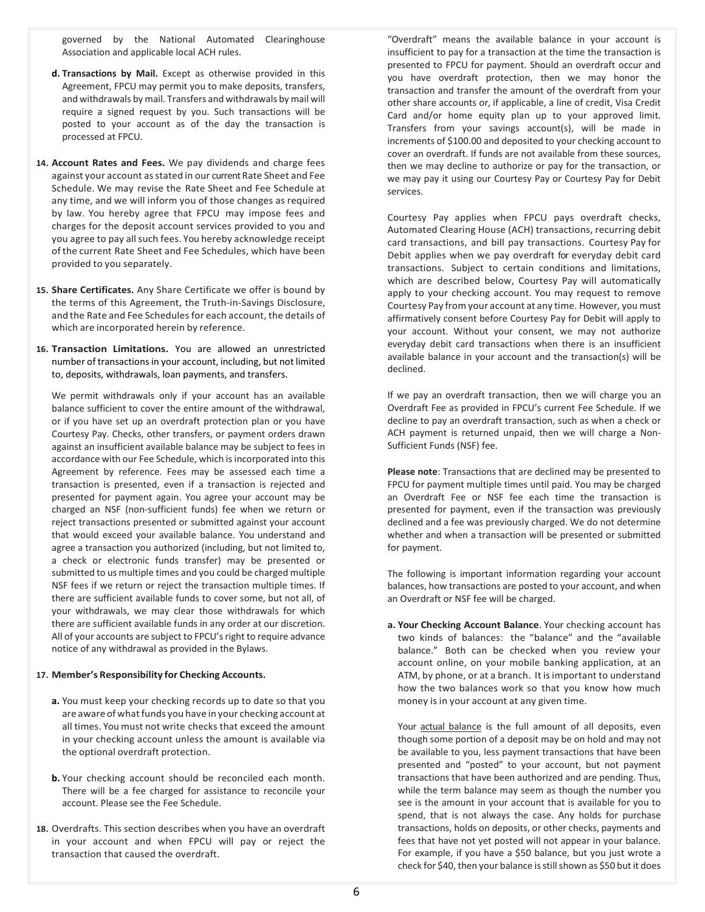governed by the National Automated Clearinghouse Association and applicable local ACH rules.

- **d. Transactions by Mail.** Except as otherwise provided in this Agreement, FPCU may permit you to make deposits, transfers, and withdrawals by mail. Transfers and withdrawals by mail will require a signed request by you. Such transactions will be posted to your account as of the day the transaction is processed at FPCU.
- **14. Account Rates and Fees.** We pay dividends and charge fees against your account as stated in our current Rate Sheet and Fee Schedule. We may revise the Rate Sheet and Fee Schedule at any time, and we will inform you of those changes as required by law. You hereby agree that FPCU may impose fees and charges for the deposit account services provided to you and you agree to pay all such fees. You hereby acknowledge receipt of the current Rate Sheet and Fee Schedules, which have been provided to you separately.
- **15. Share Certificates.** Any Share Certificate we offer is bound by the terms of this Agreement, the Truth-in-Savings Disclosure, and the Rate and Fee Schedules for each account, the details of which are incorporated herein by reference.
- **16. Transaction Limitations.** You are allowed an unrestricted number of transactions in your account, including, but not limited to, deposits, withdrawals, loan payments, and transfers.

We permit withdrawals only if your account has an available balance sufficient to cover the entire amount of the withdrawal, or if you have set up an overdraft protection plan or you have Courtesy Pay. Checks, other transfers, or payment orders drawn against an insufficient available balance may be subject to fees in accordance with our Fee Schedule, which is incorporated into this Agreement by reference. Fees may be assessed each time a transaction is presented, even if a transaction is rejected and presented for payment again. You agree your account may be charged an NSF (non-sufficient funds) fee when we return or reject transactions presented or submitted against your account that would exceed your available balance. You understand and agree a transaction you authorized (including, but not limited to, a check or electronic funds transfer) may be presented or submitted to us multiple times and you could be charged multiple NSF fees if we return or reject the transaction multiple times. If there are sufficient available funds to cover some, but not all, of your withdrawals, we may clear those withdrawals for which there are sufficient available funds in any order at our discretion. All of your accounts are subject to FPCU's right to require advance notice of any withdrawal as provided in the Bylaws.

#### **17. Member's Responsibility for Checking Accounts.**

- **a.** You must keep your checking records up to date so that you are aware of what funds you have in your checking account at all times. You must not write checks that exceed the amount in your checking account unless the amount is available via the optional overdraft protection.
- **b.** Your checking account should be reconciled each month. There will be a fee charged for assistance to reconcile your account. Please see the Fee Schedule.
- **18.** Overdrafts. This section describes when you have an overdraft in your account and when FPCU will pay or reject the transaction that caused the overdraft.

"Overdraft" means the available balance in your account is insufficient to pay for a transaction at the time the transaction is presented to FPCU for payment. Should an overdraft occur and you have overdraft protection, then we may honor the transaction and transfer the amount of the overdraft from your other share accounts or, if applicable, a line of credit, Visa Credit Card and/or home equity plan up to your approved limit. Transfers from your savings account(s), will be made in increments of \$100.00 and deposited to your checking account to cover an overdraft. If funds are not available from these sources, then we may decline to authorize or pay for the transaction, or we may pay it using our Courtesy Pay or Courtesy Pay for Debit services.

Courtesy Pay applies when FPCU pays overdraft checks, Automated Clearing House (ACH) transactions, recurring debit card transactions, and bill pay transactions. Courtesy Pay for Debit applies when we pay overdraft for everyday debit card transactions. Subject to certain conditions and limitations, which are described below, Courtesy Pay will automatically apply to your checking account. You may request to remove Courtesy Pay from your account at any time. However, you must affirmatively consent before Courtesy Pay for Debit will apply to your account. Without your consent, we may not authorize everyday debit card transactions when there is an insufficient available balance in your account and the transaction(s) will be declined.

If we pay an overdraft transaction, then we will charge you an Overdraft Fee as provided in FPCU's current Fee Schedule. If we decline to pay an overdraft transaction, such as when a check or ACH payment is returned unpaid, then we will charge a Non-Sufficient Funds (NSF) fee.

**Please note**: Transactions that are declined may be presented to FPCU for payment multiple times until paid. You may be charged an Overdraft Fee or NSF fee each time the transaction is presented for payment, even if the transaction was previously declined and a fee was previously charged. We do not determine whether and when a transaction will be presented or submitted for payment.

The following is important information regarding your account balances, how transactions are posted to your account, and when an Overdraft or NSF fee will be charged.

**a. Your Checking Account Balance**. Your checking account has two kinds of balances: the "balance" and the "available balance." Both can be checked when you review your account online, on your mobile banking application, at an ATM, by phone, or at a branch. It isimportant to understand how the two balances work so that you know how much money is in your account at any given time.

Your actual balance is the full amount of all deposits, even though some portion of a deposit may be on hold and may not be available to you, less payment transactions that have been presented and "posted" to your account, but not payment transactions that have been authorized and are pending. Thus, while the term balance may seem as though the number you see is the amount in your account that is available for you to spend, that is not always the case. Any holds for purchase transactions, holds on deposits, or other checks, payments and fees that have not yet posted will not appear in your balance. For example, if you have a \$50 balance, but you just wrote a check for \$40, then your balance is still shown as \$50 but it does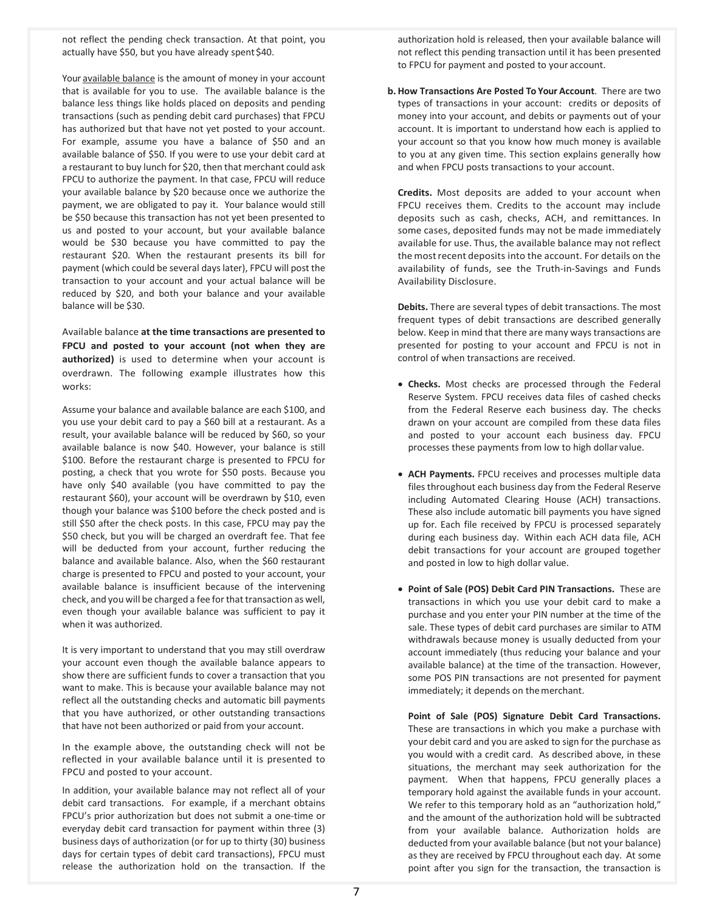not reflect the pending check transaction. At that point, you actually have \$50, but you have already spent \$40.

Your available balance is the amount of money in your account that is available for you to use. The available balance is the balance less things like holds placed on deposits and pending transactions (such as pending debit card purchases) that FPCU has authorized but that have not yet posted to your account. For example, assume you have a balance of \$50 and an available balance of \$50. If you were to use your debit card at a restaurant to buy lunch for \$20, then that merchant could ask FPCU to authorize the payment. In that case, FPCU will reduce your available balance by \$20 because once we authorize the payment, we are obligated to pay it. Your balance would still be \$50 because this transaction has not yet been presented to us and posted to your account, but your available balance would be \$30 because you have committed to pay the restaurant \$20. When the restaurant presents its bill for payment (which could be several days later), FPCU will post the transaction to your account and your actual balance will be reduced by \$20, and both your balance and your available balance will be \$30.

Available balance **at the time transactions are presented to FPCU and posted to your account (not when they are authorized)** is used to determine when your account is overdrawn. The following example illustrates how this works:

Assume your balance and available balance are each \$100, and you use your debit card to pay a \$60 bill at a restaurant. As a result, your available balance will be reduced by \$60, so your available balance is now \$40. However, your balance is still \$100. Before the restaurant charge is presented to FPCU for posting, a check that you wrote for \$50 posts. Because you have only \$40 available (you have committed to pay the restaurant \$60), your account will be overdrawn by \$10, even though your balance was \$100 before the check posted and is still \$50 after the check posts. In this case, FPCU may pay the \$50 check, but you will be charged an overdraft fee. That fee will be deducted from your account, further reducing the balance and available balance. Also, when the \$60 restaurant charge is presented to FPCU and posted to your account, your available balance is insufficient because of the intervening check, and you will be charged a fee forthat transaction as well, even though your available balance was sufficient to pay it when it was authorized.

It is very important to understand that you may still overdraw your account even though the available balance appears to show there are sufficient funds to cover a transaction that you want to make. This is because your available balance may not reflect all the outstanding checks and automatic bill payments that you have authorized, or other outstanding transactions that have not been authorized or paid from your account.

In the example above, the outstanding check will not be reflected in your available balance until it is presented to FPCU and posted to your account.

In addition, your available balance may not reflect all of your debit card transactions. For example, if a merchant obtains FPCU's prior authorization but does not submit a one-time or everyday debit card transaction for payment within three (3) business days of authorization (or for up to thirty (30) business days for certain types of debit card transactions), FPCU must release the authorization hold on the transaction. If the

authorization hold is released, then your available balance will not reflect this pending transaction until it has been presented to FPCU for payment and posted to your account.

**b.How Transactions Are Posted To Your Account**. There are two types of transactions in your account: credits or deposits of money into your account, and debits or payments out of your account. It is important to understand how each is applied to your account so that you know how much money is available to you at any given time. This section explains generally how and when FPCU posts transactions to your account.

**Credits.** Most deposits are added to your account when FPCU receives them. Credits to the account may include deposits such as cash, checks, ACH, and remittances. In some cases, deposited funds may not be made immediately available for use. Thus, the available balance may not reflect themostrecent deposits into the account. For details on the availability of funds, see the Truth-in-Savings and Funds Availability Disclosure.

**Debits.** There are several types of debit transactions. The most frequent types of debit transactions are described generally below. Keep in mind that there are many ways transactions are presented for posting to your account and FPCU is not in control of when transactions are received.

- **Checks.** Most checks are processed through the Federal Reserve System. FPCU receives data files of cashed checks from the Federal Reserve each business day. The checks drawn on your account are compiled from these data files and posted to your account each business day. FPCU processes these payments from low to high dollar value.
- **ACH Payments.** FPCU receives and processes multiple data files throughout each business day from the Federal Reserve including Automated Clearing House (ACH) transactions. These also include automatic bill payments you have signed up for. Each file received by FPCU is processed separately during each business day. Within each ACH data file, ACH debit transactions for your account are grouped together and posted in low to high dollar value.
- **Point of Sale (POS) Debit Card PIN Transactions.** These are transactions in which you use your debit card to make a purchase and you enter your PIN number at the time of the sale. These types of debit card purchases are similar to ATM withdrawals because money is usually deducted from your account immediately (thus reducing your balance and your available balance) at the time of the transaction. However, some POS PIN transactions are not presented for payment immediately; it depends on the merchant.

**Point of Sale (POS) Signature Debit Card Transactions.**  These are transactions in which you make a purchase with your debit card and you are asked to sign for the purchase as you would with a credit card. As described above, in these situations, the merchant may seek authorization for the payment. When that happens, FPCU generally places a temporary hold against the available funds in your account. We refer to this temporary hold as an "authorization hold," and the amount of the authorization hold will be subtracted from your available balance. Authorization holds are deducted from your available balance (but not your balance) as they are received by FPCU throughout each day. At some point after you sign for the transaction, the transaction is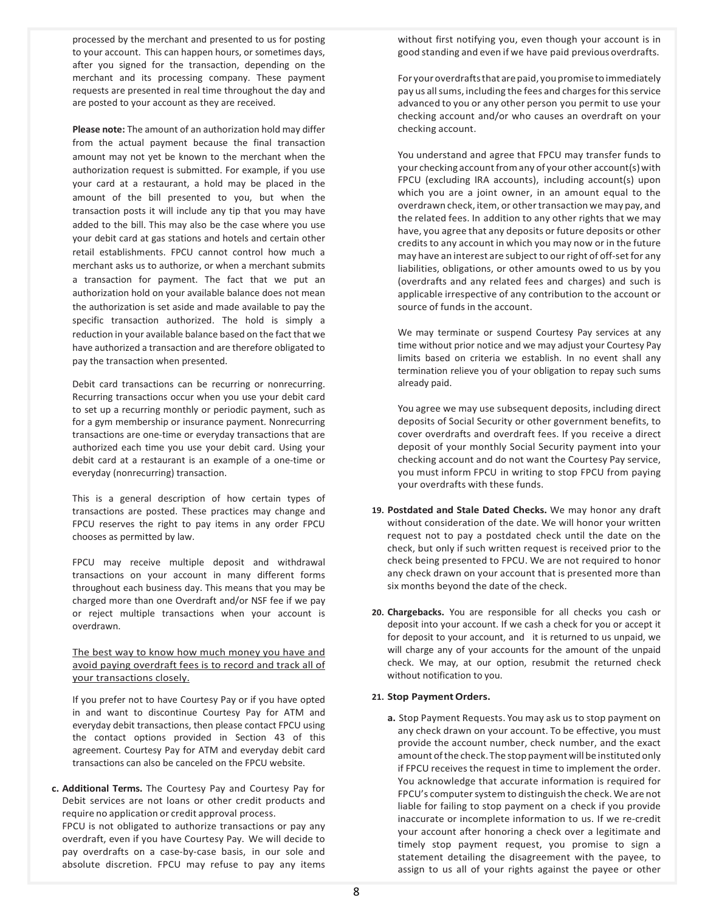processed by the merchant and presented to us for posting to your account. This can happen hours, or sometimes days, after you signed for the transaction, depending on the merchant and its processing company. These payment requests are presented in real time throughout the day and are posted to your account as they are received.

**Please note:** The amount of an authorization hold may differ from the actual payment because the final transaction amount may not yet be known to the merchant when the authorization request is submitted. For example, if you use your card at a restaurant, a hold may be placed in the amount of the bill presented to you, but when the transaction posts it will include any tip that you may have added to the bill. This may also be the case where you use your debit card at gas stations and hotels and certain other retail establishments. FPCU cannot control how much a merchant asks us to authorize, or when a merchant submits a transaction for payment. The fact that we put an authorization hold on your available balance does not mean the authorization is set aside and made available to pay the specific transaction authorized. The hold is simply a reduction in your available balance based on the fact that we have authorized a transaction and are therefore obligated to pay the transaction when presented.

Debit card transactions can be recurring or nonrecurring. Recurring transactions occur when you use your debit card to set up a recurring monthly or periodic payment, such as for a gym membership or insurance payment. Nonrecurring transactions are one-time or everyday transactions that are authorized each time you use your debit card. Using your debit card at a restaurant is an example of a one-time or everyday (nonrecurring) transaction.

This is a general description of how certain types of transactions are posted. These practices may change and FPCU reserves the right to pay items in any order FPCU chooses as permitted by law.

FPCU may receive multiple deposit and withdrawal transactions on your account in many different forms throughout each business day. This means that you may be charged more than one Overdraft and/or NSF fee if we pay or reject multiple transactions when your account is overdrawn.

The best way to know how much money you have and avoid paying overdraft fees is to record and track all of your transactions closely.

If you prefer not to have Courtesy Pay or if you have opted in and want to discontinue Courtesy Pay for ATM and everyday debit transactions, then please contact FPCU using the contact options provided in Section 43 of this agreement. Courtesy Pay for ATM and everyday debit card transactions can also be canceled on the FPCU website.

**c. Additional Terms.** The Courtesy Pay and Courtesy Pay for Debit services are not loans or other credit products and require no application or credit approval process. FPCU is not obligated to authorize transactions or pay any overdraft, even if you have Courtesy Pay. We will decide to pay overdrafts on a case-by-case basis, in our sole and absolute discretion. FPCU may refuse to pay any items

without first notifying you, even though your account is in good standing and even if we have paid previous overdrafts.

For your overdraftsthat arepaid, youpromisetoimmediately pay us all sums, including the fees and charges for this service advanced to you or any other person you permit to use your checking account and/or who causes an overdraft on your checking account.

You understand and agree that FPCU may transfer funds to your checking account from any of your other account(s) with FPCU (excluding IRA accounts), including account(s) upon which you are a joint owner, in an amount equal to the overdrawn check, item, or other transaction we may pay, and the related fees. In addition to any other rights that we may have, you agree that any deposits or future deposits or other credits to any account in which you may now or in the future may have an interest are subject to our right of off-set for any liabilities, obligations, or other amounts owed to us by you (overdrafts and any related fees and charges) and such is applicable irrespective of any contribution to the account or source of funds in the account.

We may terminate or suspend Courtesy Pay services at any time without prior notice and we may adjust your Courtesy Pay limits based on criteria we establish. In no event shall any termination relieve you of your obligation to repay such sums already paid.

You agree we may use subsequent deposits, including direct deposits of Social Security or other government benefits, to cover overdrafts and overdraft fees. If you receive a direct deposit of your monthly Social Security payment into your checking account and do not want the Courtesy Pay service, you must inform FPCU in writing to stop FPCU from paying your overdrafts with these funds.

- **19. Postdated and Stale Dated Checks.** We may honor any draft without consideration of the date. We will honor your written request not to pay a postdated check until the date on the check, but only if such written request is received prior to the check being presented to FPCU. We are not required to honor any check drawn on your account that is presented more than six months beyond the date of the check.
- **20. Chargebacks.** You are responsible for all checks you cash or deposit into your account. If we cash a check for you or accept it for deposit to your account, and it is returned to us unpaid, we will charge any of your accounts for the amount of the unpaid check. We may, at our option, resubmit the returned check without notification to you.

## **21. Stop Payment Orders.**

**a.** Stop Payment Requests. You may ask us to stop payment on any check drawn on your account. To be effective, you must provide the account number, check number, and the exact amount ofthe check.The stop payment will be instituted only if FPCU receives the request in time to implement the order. You acknowledge that accurate information is required for FPCU's computer system to distinguish the check. We are not liable for failing to stop payment on a check if you provide inaccurate or incomplete information to us. If we re-credit your account after honoring a check over a legitimate and timely stop payment request, you promise to sign a statement detailing the disagreement with the payee, to assign to us all of your rights against the payee or other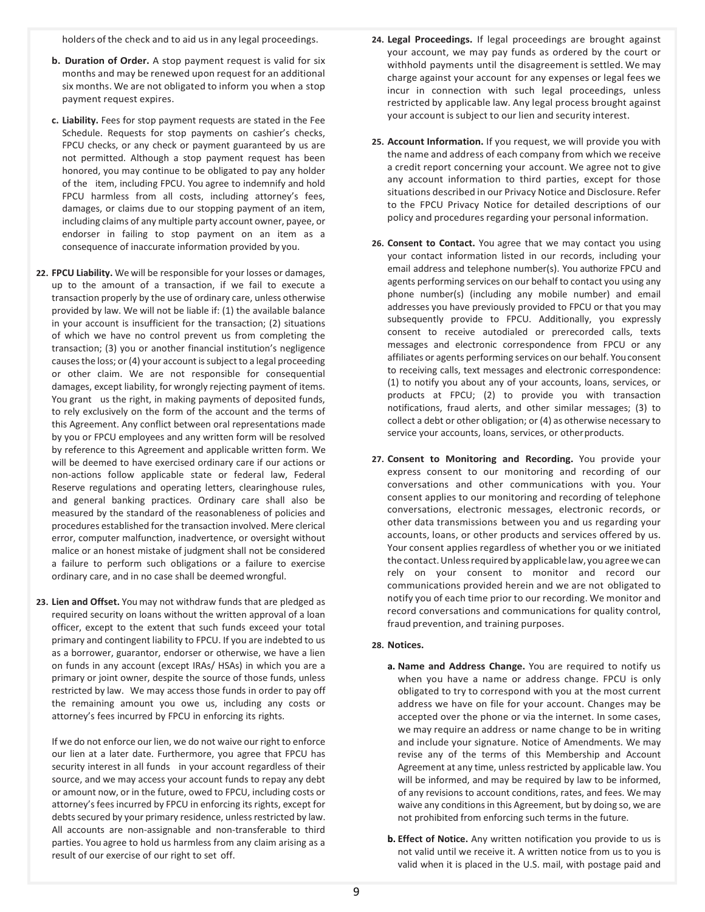holders of the check and to aid us in any legal proceedings.

- **b. Duration of Order.** A stop payment request is valid for six months and may be renewed upon request for an additional six months. We are not obligated to inform you when a stop payment request expires.
- **c. Liability.** Fees for stop payment requests are stated in the Fee Schedule. Requests for stop payments on cashier's checks, FPCU checks, or any check or payment guaranteed by us are not permitted. Although a stop payment request has been honored, you may continue to be obligated to pay any holder of the item, including FPCU. You agree to indemnify and hold FPCU harmless from all costs, including attorney's fees, damages, or claims due to our stopping payment of an item, including claims of any multiple party account owner, payee, or endorser in failing to stop payment on an item as a consequence of inaccurate information provided by you.
- **22. FPCU Liability.** We will be responsible for your losses or damages, up to the amount of a transaction, if we fail to execute a transaction properly by the use of ordinary care, unless otherwise provided by law. We will not be liable if: (1) the available balance in your account is insufficient for the transaction; (2) situations of which we have no control prevent us from completing the transaction; (3) you or another financial institution's negligence causes the loss; or (4) your account is subject to a legal proceeding or other claim. We are not responsible for consequential damages, except liability, for wrongly rejecting payment of items. You grant us the right, in making payments of deposited funds, to rely exclusively on the form of the account and the terms of this Agreement. Any conflict between oral representations made by you or FPCU employees and any written form will be resolved by reference to this Agreement and applicable written form. We will be deemed to have exercised ordinary care if our actions or non-actions follow applicable state or federal law, Federal Reserve regulations and operating letters, clearinghouse rules, and general banking practices. Ordinary care shall also be measured by the standard of the reasonableness of policies and procedures established for the transaction involved. Mere clerical error, computer malfunction, inadvertence, or oversight without malice or an honest mistake of judgment shall not be considered a failure to perform such obligations or a failure to exercise ordinary care, and in no case shall be deemed wrongful.
- **23. Lien and Offset.** You may not withdraw funds that are pledged as required security on loans without the written approval of a loan officer, except to the extent that such funds exceed your total primary and contingent liability to FPCU. If you are indebted to us as a borrower, guarantor, endorser or otherwise, we have a lien on funds in any account (except IRAs/ HSAs) in which you are a primary or joint owner, despite the source of those funds, unless restricted by law. We may access those funds in order to pay off the remaining amount you owe us, including any costs or attorney's fees incurred by FPCU in enforcing its rights.

If we do not enforce our lien, we do not waive our right to enforce our lien at a later date. Furthermore, you agree that FPCU has security interest in all funds in your account regardless of their source, and we may access your account funds to repay any debt or amount now, or in the future, owed to FPCU, including costs or attorney's fees incurred by FPCU in enforcing its rights, except for debts secured by your primary residence, unless restricted by law. All accounts are non-assignable and non-transferable to third parties. You agree to hold us harmless from any claim arising as a result of our exercise of our right to set off.

- **24. Legal Proceedings.** If legal proceedings are brought against your account, we may pay funds as ordered by the court or withhold payments until the disagreement is settled. We may charge against your account for any expenses or legal fees we incur in connection with such legal proceedings, unless restricted by applicable law. Any legal process brought against your account is subject to our lien and security interest.
- **25. Account Information.** If you request, we will provide you with the name and address of each company from which we receive a credit report concerning your account. We agree not to give any account information to third parties, except for those situations described in our Privacy Notice and Disclosure. Refer to the FPCU Privacy Notice for detailed descriptions of our policy and procedures regarding your personal information.
- **26. Consent to Contact.** You agree that we may contact you using your contact information listed in our records, including your email address and telephone number(s). You authorize FPCU and agents performing services on our behalf to contact you using any phone number(s) (including any mobile number) and email addresses you have previously provided to FPCU or that you may subsequently provide to FPCU. Additionally, you expressly consent to receive autodialed or prerecorded calls, texts messages and electronic correspondence from FPCU or any affiliates or agents performing services on our behalf. You consent to receiving calls, text messages and electronic correspondence: (1) to notify you about any of your accounts, loans, services, or products at FPCU; (2) to provide you with transaction notifications, fraud alerts, and other similar messages; (3) to collect a debt or other obligation; or (4) as otherwise necessary to service your accounts, loans, services, or otherproducts.
- **27. Consent to Monitoring and Recording.** You provide your express consent to our monitoring and recording of our conversations and other communications with you. Your consent applies to our monitoring and recording of telephone conversations, electronic messages, electronic records, or other data transmissions between you and us regarding your accounts, loans, or other products and services offered by us. Your consent applies regardless of whether you or we initiated the contact.Unlessrequired by applicablelaw, you agreewe can rely on your consent to monitor and record our communications provided herein and we are not obligated to notify you of each time prior to our recording. We monitor and record conversations and communications for quality control, fraud prevention, and training purposes.

# **28. Notices.**

- **a. Name and Address Change.** You are required to notify us when you have a name or address change. FPCU is only obligated to try to correspond with you at the most current address we have on file for your account. Changes may be accepted over the phone or via the internet. In some cases, we may require an address or name change to be in writing and include your signature. Notice of Amendments. We may revise any of the terms of this Membership and Account Agreement at any time, unless restricted by applicable law. You will be informed, and may be required by law to be informed, of any revisions to account conditions, rates, and fees. We may waive any conditions in this Agreement, but by doing so, we are not prohibited from enforcing such terms in the future.
- **b. Effect of Notice.** Any written notification you provide to us is not valid until we receive it. A written notice from us to you is valid when it is placed in the U.S. mail, with postage paid and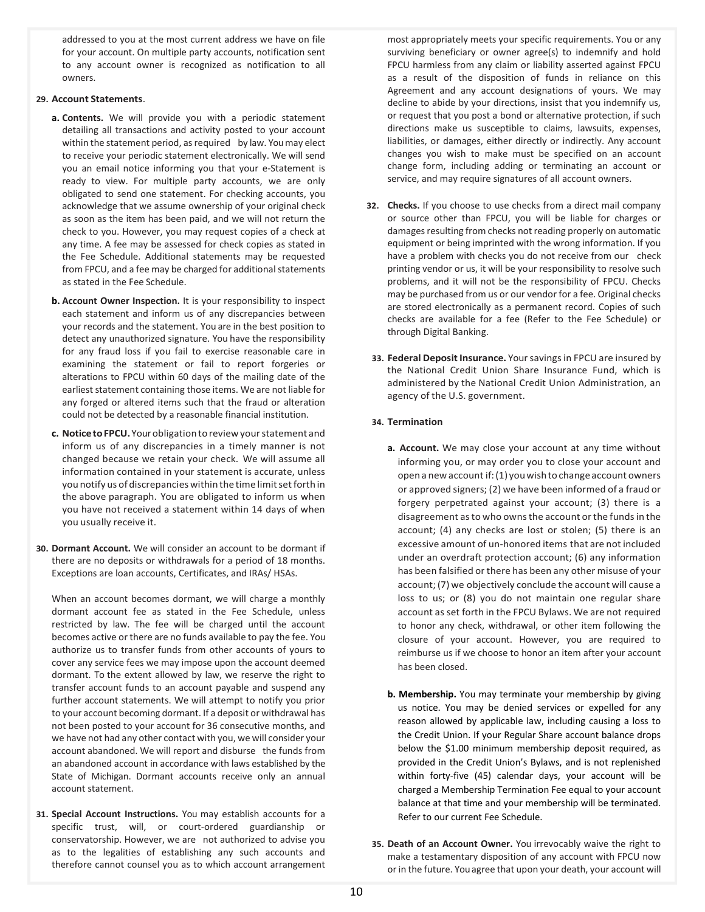addressed to you at the most current address we have on file for your account. On multiple party accounts, notification sent to any account owner is recognized as notification to all owners.

## **29. Account Statements**.

- **a. Contents.** We will provide you with a periodic statement detailing all transactions and activity posted to your account within the statement period, as required by law. You may elect to receive your periodic statement electronically. We will send you an email notice informing you that your e-Statement is ready to view. For multiple party accounts, we are only obligated to send one statement. For checking accounts, you acknowledge that we assume ownership of your original check as soon as the item has been paid, and we will not return the check to you. However, you may request copies of a check at any time. A fee may be assessed for check copies as stated in the Fee Schedule. Additional statements may be requested from FPCU, and a fee may be charged for additional statements as stated in the Fee Schedule.
- **b. Account Owner Inspection.** It is your responsibility to inspect each statement and inform us of any discrepancies between your records and the statement. You are in the best position to detect any unauthorized signature. You have the responsibility for any fraud loss if you fail to exercise reasonable care in examining the statement or fail to report forgeries or alterations to FPCU within 60 days of the mailing date of the earliest statement containing those items. We are not liable for any forged or altered items such that the fraud or alteration could not be detected by a reasonable financial institution.
- **c. NoticetoFPCU.**Yourobligation to reviewyourstatement and inform us of any discrepancies in a timely manner is not changed because we retain your check. We will assume all information contained in your statement is accurate, unless you notify us of discrepancies within the time limit set forth in the above paragraph. You are obligated to inform us when you have not received a statement within 14 days of when you usually receive it.
- **30. Dormant Account.** We will consider an account to be dormant if there are no deposits or withdrawals for a period of 18 months. Exceptions are loan accounts, Certificates, and IRAs/ HSAs.

When an account becomes dormant, we will charge a monthly dormant account fee as stated in the Fee Schedule, unless restricted by law. The fee will be charged until the account becomes active or there are no funds available to pay the fee. You authorize us to transfer funds from other accounts of yours to cover any service fees we may impose upon the account deemed dormant. To the extent allowed by law, we reserve the right to transfer account funds to an account payable and suspend any further account statements. We will attempt to notify you prior to your account becoming dormant. If a deposit or withdrawal has not been posted to your account for 36 consecutive months, and we have not had any other contact with you, we will consider your account abandoned. We will report and disburse the funds from an abandoned account in accordance with laws established by the State of Michigan. Dormant accounts receive only an annual account statement.

**31. Special Account Instructions.** You may establish accounts for a specific trust, will, or court-ordered guardianship or conservatorship. However, we are not authorized to advise you as to the legalities of establishing any such accounts and therefore cannot counsel you as to which account arrangement

most appropriately meets your specific requirements. You or any surviving beneficiary or owner agree(s) to indemnify and hold FPCU harmless from any claim or liability asserted against FPCU as a result of the disposition of funds in reliance on this Agreement and any account designations of yours. We may decline to abide by your directions, insist that you indemnify us, or request that you post a bond or alternative protection, if such directions make us susceptible to claims, lawsuits, expenses, liabilities, or damages, either directly or indirectly. Any account changes you wish to make must be specified on an account change form, including adding or terminating an account or service, and may require signatures of all account owners.

- **32. Checks.** If you choose to use checks from a direct mail company or source other than FPCU, you will be liable for charges or damages resulting from checks not reading properly on automatic equipment or being imprinted with the wrong information. If you have a problem with checks you do not receive from our check printing vendor or us, it will be your responsibility to resolve such problems, and it will not be the responsibility of FPCU. Checks may be purchased from us or our vendor for a fee. Original checks are stored electronically as a permanent record. Copies of such checks are available for a fee (Refer to the Fee Schedule) or through Digital Banking.
- **33. Federal Deposit Insurance.** Yoursavingsin FPCU are insured by the National Credit Union Share Insurance Fund, which is administered by the National Credit Union Administration, an agency of the U.S. government.

# **34. Termination**

- **a. Account.** We may close your account at any time without informing you, or may order you to close your account and open a newaccount if:(1) youwishtochange account owners or approved signers; (2) we have been informed of a fraud or forgery perpetrated against your account; (3) there is a disagreement asto who ownsthe account orthe fundsin the account; (4) any checks are lost or stolen; (5) there is an excessive amount of un-honored items that are not included under an overdraft protection account; (6) any information has been falsified or there has been any other misuse of your account; (7) we objectively conclude the account will cause a loss to us; or (8) you do not maintain one regular share account as set forth in the FPCU Bylaws. We are not required to honor any check, withdrawal, or other item following the closure of your account. However, you are required to reimburse us if we choose to honor an item after your account has been closed.
- **b. Membership.** You may terminate your membership by giving us notice. You may be denied services or expelled for any reason allowed by applicable law, including causing a loss to the Credit Union. If your Regular Share account balance drops below the \$1.00 minimum membership deposit required, as provided in the Credit Union's Bylaws, and is not replenished within forty-five (45) calendar days, your account will be charged a Membership Termination Fee equal to your account balance at that time and your membership will be terminated. Refer to our current Fee Schedule.
- **35. Death of an Account Owner.** You irrevocably waive the right to make a testamentary disposition of any account with FPCU now or in the future. You agree that upon your death, your account will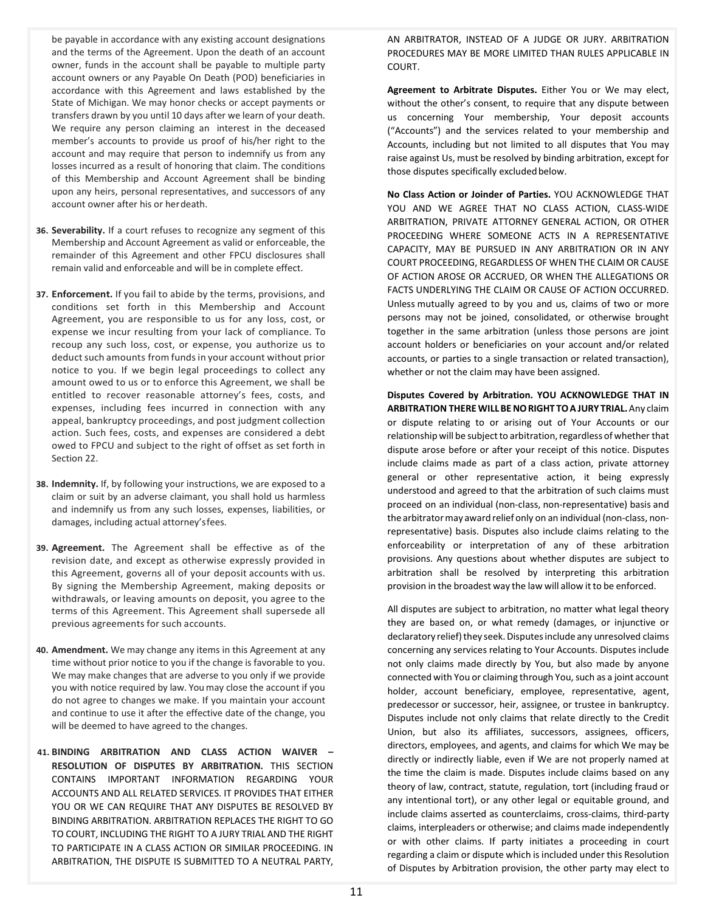be payable in accordance with any existing account designations and the terms of the Agreement. Upon the death of an account owner, funds in the account shall be payable to multiple party account owners or any Payable On Death (POD) beneficiaries in accordance with this Agreement and laws established by the State of Michigan. We may honor checks or accept payments or transfers drawn by you until 10 days after we learn of your death. We require any person claiming an interest in the deceased member's accounts to provide us proof of his/her right to the account and may require that person to indemnify us from any losses incurred as a result of honoring that claim. The conditions of this Membership and Account Agreement shall be binding upon any heirs, personal representatives, and successors of any account owner after his or herdeath.

- **36. Severability.** If a court refuses to recognize any segment of this Membership and Account Agreement as valid or enforceable, the remainder of this Agreement and other FPCU disclosures shall remain valid and enforceable and will be in complete effect.
- **37. Enforcement.** If you fail to abide by the terms, provisions, and conditions set forth in this Membership and Account Agreement, you are responsible to us for any loss, cost, or expense we incur resulting from your lack of compliance. To recoup any such loss, cost, or expense, you authorize us to deduct such amounts from funds in your account without prior notice to you. If we begin legal proceedings to collect any amount owed to us or to enforce this Agreement, we shall be entitled to recover reasonable attorney's fees, costs, and expenses, including fees incurred in connection with any appeal, bankruptcy proceedings, and post judgment collection action. Such fees, costs, and expenses are considered a debt owed to FPCU and subject to the right of offset as set forth in Section 22.
- **38. Indemnity.** If, by following your instructions, we are exposed to a claim or suit by an adverse claimant, you shall hold us harmless and indemnify us from any such losses, expenses, liabilities, or damages, including actual attorney'sfees.
- **39. Agreement.** The Agreement shall be effective as of the revision date, and except as otherwise expressly provided in this Agreement, governs all of your deposit accounts with us. By signing the Membership Agreement, making deposits or withdrawals, or leaving amounts on deposit, you agree to the terms of this Agreement. This Agreement shall supersede all previous agreements for such accounts.
- **40. Amendment.** We may change any items in this Agreement at any time without prior notice to you if the change is favorable to you. We may make changes that are adverse to you only if we provide you with notice required by law. You may close the account if you do not agree to changes we make. If you maintain your account and continue to use it after the effective date of the change, you will be deemed to have agreed to the changes.
- **41. BINDING ARBITRATION AND CLASS ACTION WAIVER – RESOLUTION OF DISPUTES BY ARBITRATION.** THIS SECTION CONTAINS IMPORTANT INFORMATION REGARDING YOUR ACCOUNTS AND ALL RELATED SERVICES. IT PROVIDES THAT EITHER YOU OR WE CAN REQUIRE THAT ANY DISPUTES BE RESOLVED BY BINDING ARBITRATION. ARBITRATION REPLACES THE RIGHT TO GO TO COURT, INCLUDING THE RIGHT TO A JURY TRIAL AND THE RIGHT TO PARTICIPATE IN A CLASS ACTION OR SIMILAR PROCEEDING. IN ARBITRATION, THE DISPUTE IS SUBMITTED TO A NEUTRAL PARTY,

AN ARBITRATOR, INSTEAD OF A JUDGE OR JURY. ARBITRATION PROCEDURES MAY BE MORE LIMITED THAN RULES APPLICABLE IN COURT.

**Agreement to Arbitrate Disputes.** Either You or We may elect, without the other's consent, to require that any dispute between us concerning Your membership, Your deposit accounts ("Accounts") and the services related to your membership and Accounts, including but not limited to all disputes that You may raise against Us, must be resolved by binding arbitration, except for those disputes specifically excluded below.

**No Class Action or Joinder of Parties.** YOU ACKNOWLEDGE THAT YOU AND WE AGREE THAT NO CLASS ACTION, CLASS-WIDE ARBITRATION, PRIVATE ATTORNEY GENERAL ACTION, OR OTHER PROCEEDING WHERE SOMEONE ACTS IN A REPRESENTATIVE CAPACITY, MAY BE PURSUED IN ANY ARBITRATION OR IN ANY COURT PROCEEDING, REGARDLESS OF WHEN THE CLAIM OR CAUSE OF ACTION AROSE OR ACCRUED, OR WHEN THE ALLEGATIONS OR FACTS UNDERLYING THE CLAIM OR CAUSE OF ACTION OCCURRED. Unless mutually agreed to by you and us, claims of two or more persons may not be joined, consolidated, or otherwise brought together in the same arbitration (unless those persons are joint account holders or beneficiaries on your account and/or related accounts, or parties to a single transaction or related transaction), whether or not the claim may have been assigned.

**Disputes Covered by Arbitration. YOU ACKNOWLEDGE THAT IN ARBITRATION THERE WILLBENORIGHT TOA JURY TRIAL.**Any claim or dispute relating to or arising out of Your Accounts or our relationship will be subject to arbitration, regardless of whether that dispute arose before or after your receipt of this notice. Disputes include claims made as part of a class action, private attorney general or other representative action, it being expressly understood and agreed to that the arbitration of such claims must proceed on an individual (non-class, non-representative) basis and the arbitratormay award relief only on an individual (non-class, nonrepresentative) basis. Disputes also include claims relating to the enforceability or interpretation of any of these arbitration provisions. Any questions about whether disputes are subject to arbitration shall be resolved by interpreting this arbitration provision in the broadest way the law will allow it to be enforced.

All disputes are subject to arbitration, no matter what legal theory they are based on, or what remedy (damages, or injunctive or declaratory relief) they seek. Disputes include any unresolved claims concerning any services relating to Your Accounts. Disputes include not only claims made directly by You, but also made by anyone connected with You or claiming through You, such as a joint account holder, account beneficiary, employee, representative, agent, predecessor or successor, heir, assignee, or trustee in bankruptcy. Disputes include not only claims that relate directly to the Credit Union, but also its affiliates, successors, assignees, officers, directors, employees, and agents, and claims for which We may be directly or indirectly liable, even if We are not properly named at the time the claim is made. Disputes include claims based on any theory of law, contract, statute, regulation, tort (including fraud or any intentional tort), or any other legal or equitable ground, and include claims asserted as counterclaims, cross-claims, third-party claims, interpleaders or otherwise; and claims made independently or with other claims. If party initiates a proceeding in court regarding a claim or dispute which is included under this Resolution of Disputes by Arbitration provision, the other party may elect to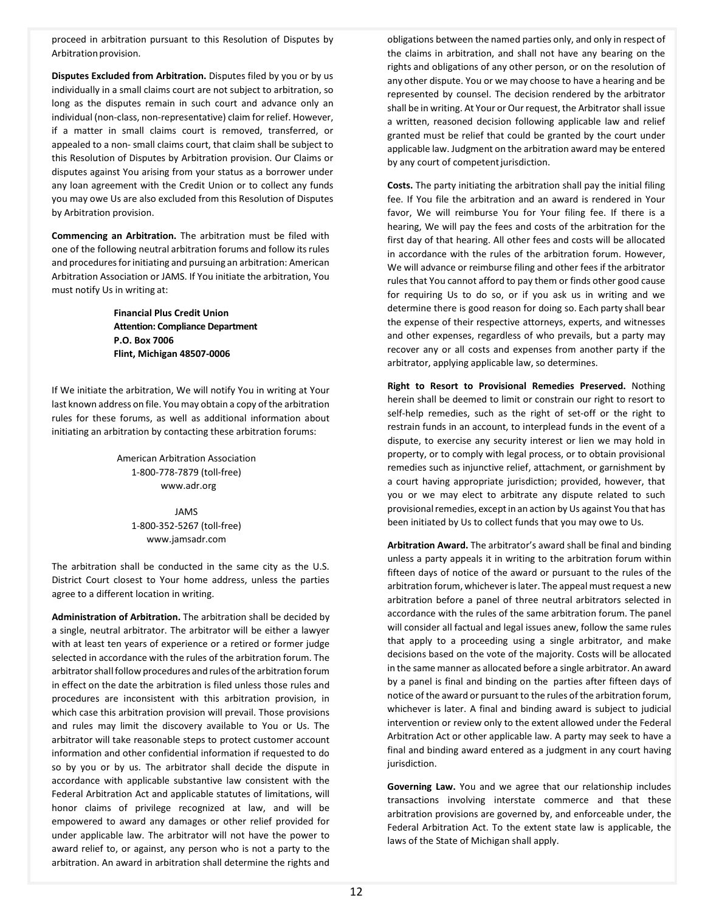proceed in arbitration pursuant to this Resolution of Disputes by Arbitration provision.

**Disputes Excluded from Arbitration.** Disputes filed by you or by us individually in a small claims court are not subject to arbitration, so long as the disputes remain in such court and advance only an individual (non-class, non-representative) claim for relief. However, if a matter in small claims court is removed, transferred, or appealed to a non- small claims court, that claim shall be subject to this Resolution of Disputes by Arbitration provision. Our Claims or disputes against You arising from your status as a borrower under any loan agreement with the Credit Union or to collect any funds you may owe Us are also excluded from this Resolution of Disputes by Arbitration provision.

**Commencing an Arbitration.** The arbitration must be filed with one of the following neutral arbitration forums and follow itsrules and procedures for initiating and pursuing an arbitration: American Arbitration Association or JAMS. If You initiate the arbitration, You must notify Us in writing at:

> **Financial Plus Credit Union Attention: Compliance Department P.O. Box 7006 Flint, Michigan 48507-0006**

If We initiate the arbitration, We will notify You in writing at Your last known address on file. You may obtain a copy of the arbitration rules for these forums, as well as additional information about initiating an arbitration by contacting these arbitration forums:

> American Arbitration Association 1-800-778-7879 (toll-free) www.adr.org

> > JAMS 1-800-352-5267 (toll-free) www.jamsadr.com

The arbitration shall be conducted in the same city as the U.S. District Court closest to Your home address, unless the parties agree to a different location in writing.

**Administration of Arbitration.** The arbitration shall be decided by a single, neutral arbitrator. The arbitrator will be either a lawyer with at least ten years of experience or a retired or former judge selected in accordance with the rules of the arbitration forum. The arbitrator shall follow procedures and rules of the arbitration forum in effect on the date the arbitration is filed unless those rules and procedures are inconsistent with this arbitration provision, in which case this arbitration provision will prevail. Those provisions and rules may limit the discovery available to You or Us. The arbitrator will take reasonable steps to protect customer account information and other confidential information if requested to do so by you or by us. The arbitrator shall decide the dispute in accordance with applicable substantive law consistent with the Federal Arbitration Act and applicable statutes of limitations, will honor claims of privilege recognized at law, and will be empowered to award any damages or other relief provided for under applicable law. The arbitrator will not have the power to award relief to, or against, any person who is not a party to the arbitration. An award in arbitration shall determine the rights and obligations between the named parties only, and only in respect of the claims in arbitration, and shall not have any bearing on the rights and obligations of any other person, or on the resolution of any other dispute. You or we may choose to have a hearing and be represented by counsel. The decision rendered by the arbitrator shall be in writing. At Your or Our request, the Arbitrator shall issue a written, reasoned decision following applicable law and relief granted must be relief that could be granted by the court under applicable law. Judgment on the arbitration award may be entered by any court of competent jurisdiction.

**Costs.** The party initiating the arbitration shall pay the initial filing fee. If You file the arbitration and an award is rendered in Your favor, We will reimburse You for Your filing fee. If there is a hearing, We will pay the fees and costs of the arbitration for the first day of that hearing. All other fees and costs will be allocated in accordance with the rules of the arbitration forum. However, We will advance or reimburse filing and other fees if the arbitrator rules that You cannot afford to pay them or finds other good cause for requiring Us to do so, or if you ask us in writing and we determine there is good reason for doing so. Each party shall bear the expense of their respective attorneys, experts, and witnesses and other expenses, regardless of who prevails, but a party may recover any or all costs and expenses from another party if the arbitrator, applying applicable law, so determines.

**Right to Resort to Provisional Remedies Preserved.** Nothing herein shall be deemed to limit or constrain our right to resort to self-help remedies, such as the right of set-off or the right to restrain funds in an account, to interplead funds in the event of a dispute, to exercise any security interest or lien we may hold in property, or to comply with legal process, or to obtain provisional remedies such as injunctive relief, attachment, or garnishment by a court having appropriate jurisdiction; provided, however, that you or we may elect to arbitrate any dispute related to such provisional remedies, except in an action by Us against You that has been initiated by Us to collect funds that you may owe to Us.

**Arbitration Award.** The arbitrator's award shall be final and binding unless a party appeals it in writing to the arbitration forum within fifteen days of notice of the award or pursuant to the rules of the arbitration forum, whichever is later. The appeal must request a new arbitration before a panel of three neutral arbitrators selected in accordance with the rules of the same arbitration forum. The panel will consider all factual and legal issues anew, follow the same rules that apply to a proceeding using a single arbitrator, and make decisions based on the vote of the majority. Costs will be allocated in the same manner as allocated before a single arbitrator. An award by a panel is final and binding on the parties after fifteen days of notice of the award or pursuant to the rules of the arbitration forum, whichever is later. A final and binding award is subject to judicial intervention or review only to the extent allowed under the Federal Arbitration Act or other applicable law. A party may seek to have a final and binding award entered as a judgment in any court having jurisdiction.

**Governing Law.** You and we agree that our relationship includes transactions involving interstate commerce and that these arbitration provisions are governed by, and enforceable under, the Federal Arbitration Act. To the extent state law is applicable, the laws of the State of Michigan shall apply.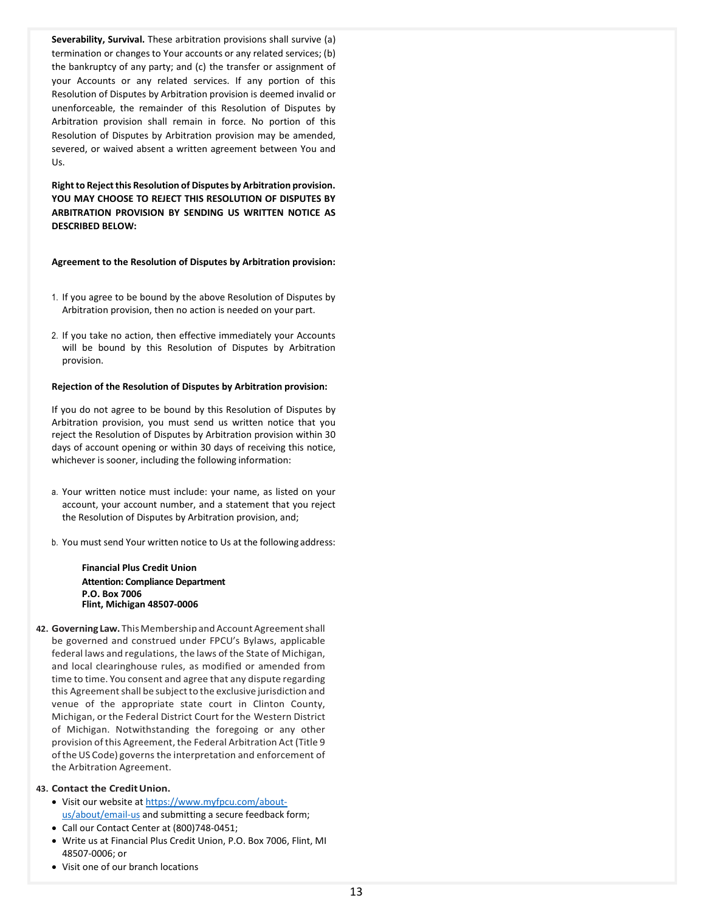**Severability, Survival.** These arbitration provisions shall survive (a) termination or changes to Your accounts or any related services; (b) the bankruptcy of any party; and (c) the transfer or assignment of your Accounts or any related services. If any portion of this Resolution of Disputes by Arbitration provision is deemed invalid or unenforceable, the remainder of this Resolution of Disputes by Arbitration provision shall remain in force. No portion of this Resolution of Disputes by Arbitration provision may be amended, severed, or waived absent a written agreement between You and Us.

**Right to Reject this Resolution of Disputes by Arbitration provision. YOU MAY CHOOSE TO REJECT THIS RESOLUTION OF DISPUTES BY ARBITRATION PROVISION BY SENDING US WRITTEN NOTICE AS DESCRIBED BELOW:**

**Agreement to the Resolution of Disputes by Arbitration provision:**

- 1. If you agree to be bound by the above Resolution of Disputes by Arbitration provision, then no action is needed on your part.
- 2. If you take no action, then effective immediately your Accounts will be bound by this Resolution of Disputes by Arbitration provision.

## **Rejection of the Resolution of Disputes by Arbitration provision:**

If you do not agree to be bound by this Resolution of Disputes by Arbitration provision, you must send us written notice that you reject the Resolution of Disputes by Arbitration provision within 30 days of account opening or within 30 days of receiving this notice, whichever is sooner, including the following information:

- a. Your written notice must include: your name, as listed on your account, your account number, and a statement that you reject the Resolution of Disputes by Arbitration provision, and;
- b. You must send Your written notice to Us at the following address:

**Financial Plus Credit Union Attention: Compliance Department P.O. Box 7006 Flint, Michigan 48507-0006**

- **42. Governing Law.** This Membership and Account Agreement shall be governed and construed under FPCU's Bylaws, applicable federal laws and regulations, the laws of the State of Michigan, and local clearinghouse rules, as modified or amended from time to time. You consent and agree that any dispute regarding this Agreement shall be subject to the exclusive jurisdiction and venue of the appropriate state court in Clinton County, Michigan, or the Federal District Court for the Western District of Michigan. Notwithstanding the foregoing or any other provision of this Agreement, the Federal Arbitration Act (Title 9 of the US Code) governs the interpretation and enforcement of the Arbitration Agreement.
- **43. Contact the CreditUnion.**
	- Visit our website a[t https://www.myfpcu.com/about](https://www.myfpcu.com/about-us/about/email-us)[us/about/email-us](https://www.myfpcu.com/about-us/about/email-us) and submitting a secure feedback form;
	- Call our Contact Center at (800)748-0451;
	- Write us at Financial Plus Credit Union, P.O. Box 7006, Flint, MI 48507-0006; or
	- Visit one of our branch locations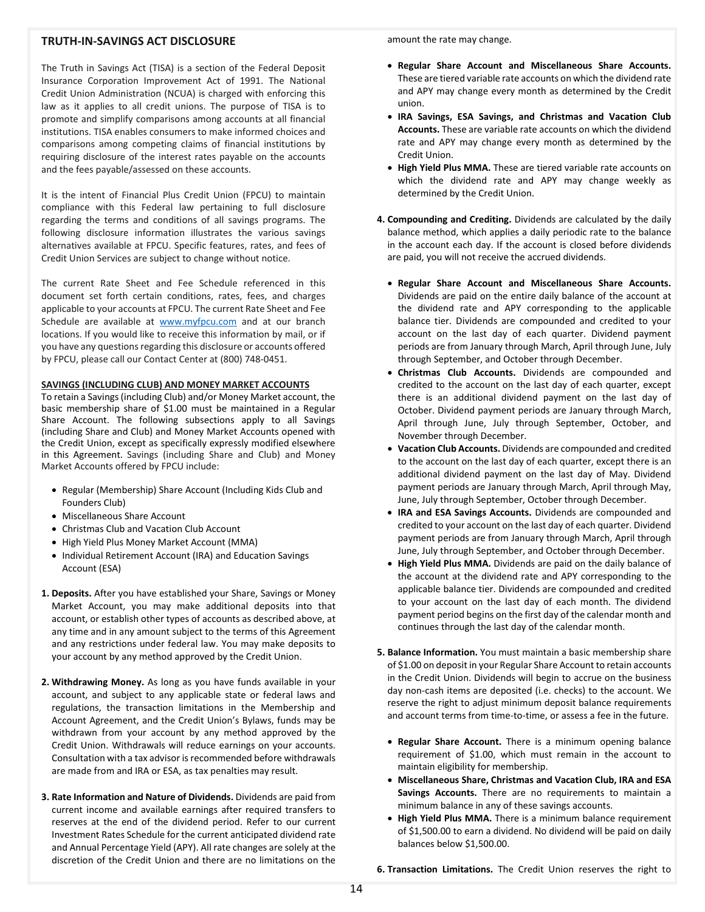# **TRUTH-IN-SAVINGS ACT DISCLOSURE**

The Truth in Savings Act (TISA) is a section of the Federal Deposit Insurance Corporation Improvement Act of 1991. The National Credit Union Administration (NCUA) is charged with enforcing this law as it applies to all credit unions. The purpose of TISA is to promote and simplify comparisons among accounts at all financial institutions. TISA enables consumers to make informed choices and comparisons among competing claims of financial institutions by requiring disclosure of the interest rates payable on the accounts and the fees payable/assessed on these accounts.

It is the intent of Financial Plus Credit Union (FPCU) to maintain compliance with this Federal law pertaining to full disclosure regarding the terms and conditions of all savings programs. The following disclosure information illustrates the various savings alternatives available at FPCU. Specific features, rates, and fees of Credit Union Services are subject to change without notice.

The current Rate Sheet and Fee Schedule referenced in this document set forth certain conditions, rates, fees, and charges applicable to your accounts at FPCU. The current Rate Sheet and Fee Schedule are available at [www.myfpcu.com](http://www.myfpcu.com/) and at our branch locations. If you would like to receive this information by mail, or if you have any questions regarding this disclosure or accounts offered by FPCU, please call our Contact Center at (800) 748-0451.

## **SAVINGS (INCLUDING CLUB) AND MONEY MARKET ACCOUNTS**

To retain a Savings (including Club) and/or Money Market account, the basic membership share of \$1.00 must be maintained in a Regular Share Account. The following subsections apply to all Savings (including Share and Club) and Money Market Accounts opened with the Credit Union, except as specifically expressly modified elsewhere in this Agreement. Savings (including Share and Club) and Money Market Accounts offered by FPCU include:

- Regular (Membership) Share Account (Including Kids Club and Founders Club)
- Miscellaneous Share Account
- Christmas Club and Vacation Club Account
- High Yield Plus Money Market Account (MMA)
- Individual Retirement Account (IRA) and Education Savings Account (ESA)
- **1. Deposits.** After you have established your Share, Savings or Money Market Account, you may make additional deposits into that account, or establish other types of accounts as described above, at any time and in any amount subject to the terms of this Agreement and any restrictions under federal law. You may make deposits to your account by any method approved by the Credit Union.
- **2. Withdrawing Money.** As long as you have funds available in your account, and subject to any applicable state or federal laws and regulations, the transaction limitations in the Membership and Account Agreement, and the Credit Union's Bylaws, funds may be withdrawn from your account by any method approved by the Credit Union. Withdrawals will reduce earnings on your accounts. Consultation with a tax advisor is recommended before withdrawals are made from and IRA or ESA, as tax penalties may result.
- **3. Rate Information and Nature of Dividends.** Dividends are paid from current income and available earnings after required transfers to reserves at the end of the dividend period. Refer to our current Investment Rates Schedule for the current anticipated dividend rate and Annual Percentage Yield (APY). All rate changes are solely at the discretion of the Credit Union and there are no limitations on the

amount the rate may change.

- **Regular Share Account and Miscellaneous Share Accounts.** These are tiered variable rate accounts on which the dividend rate and APY may change every month as determined by the Credit union.
- **IRA Savings, ESA Savings, and Christmas and Vacation Club Accounts.** These are variable rate accounts on which the dividend rate and APY may change every month as determined by the Credit Union.
- **High Yield Plus MMA.** These are tiered variable rate accounts on which the dividend rate and APY may change weekly as determined by the Credit Union.
- **4. Compounding and Crediting.** Dividends are calculated by the daily balance method, which applies a daily periodic rate to the balance in the account each day. If the account is closed before dividends are paid, you will not receive the accrued dividends.
	- **Regular Share Account and Miscellaneous Share Accounts.**  Dividends are paid on the entire daily balance of the account at the dividend rate and APY corresponding to the applicable balance tier. Dividends are compounded and credited to your account on the last day of each quarter. Dividend payment periods are from January through March, April through June, July through September, and October through December.
	- **Christmas Club Accounts.** Dividends are compounded and credited to the account on the last day of each quarter, except there is an additional dividend payment on the last day of October. Dividend payment periods are January through March, April through June, July through September, October, and November through December.
	- **Vacation Club Accounts.** Dividends are compounded and credited to the account on the last day of each quarter, except there is an additional dividend payment on the last day of May. Dividend payment periods are January through March, April through May, June, July through September, October through December.
	- **IRA and ESA Savings Accounts.** Dividends are compounded and credited to your account on the last day of each quarter. Dividend payment periods are from January through March, April through June, July through September, and October through December.
	- **High Yield Plus MMA.** Dividends are paid on the daily balance of the account at the dividend rate and APY corresponding to the applicable balance tier. Dividends are compounded and credited to your account on the last day of each month. The dividend payment period begins on the first day of the calendar month and continues through the last day of the calendar month.
- **5. Balance Information.** You must maintain a basic membership share of \$1.00 on deposit in your Regular Share Account to retain accounts in the Credit Union. Dividends will begin to accrue on the business day non-cash items are deposited (i.e. checks) to the account. We reserve the right to adjust minimum deposit balance requirements and account terms from time-to-time, or assess a fee in the future.
	- **Regular Share Account.** There is a minimum opening balance requirement of \$1.00, which must remain in the account to maintain eligibility for membership.
	- **Miscellaneous Share, Christmas and Vacation Club, IRA and ESA Savings Accounts.** There are no requirements to maintain a minimum balance in any of these savings accounts.
	- **High Yield Plus MMA.** There is a minimum balance requirement of \$1,500.00 to earn a dividend. No dividend will be paid on daily balances below \$1,500.00.

**6. Transaction Limitations.** The Credit Union reserves the right to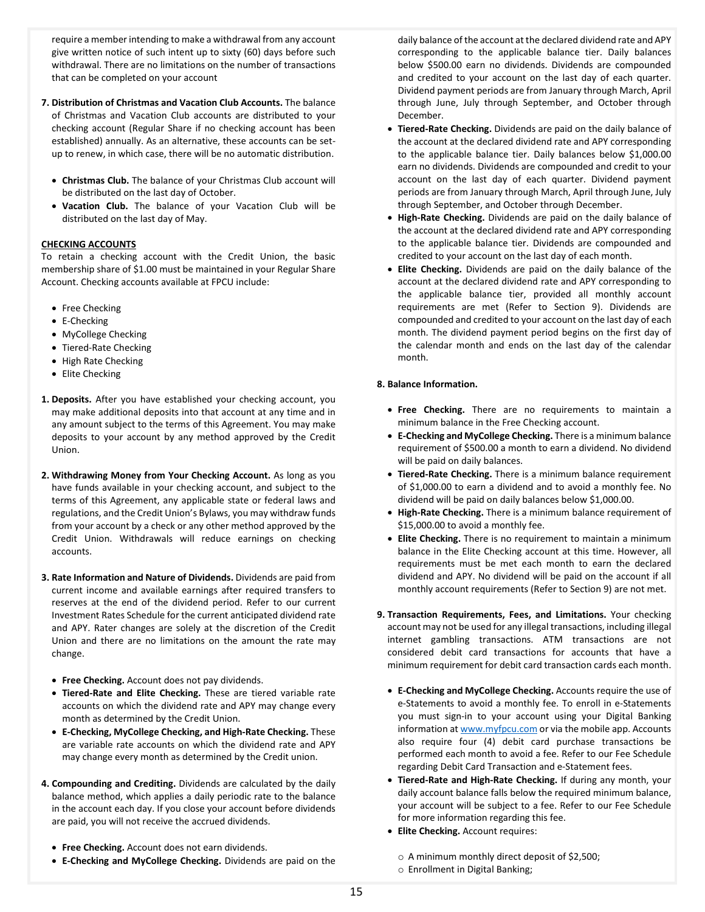require a member intending to make a withdrawal from any account give written notice of such intent up to sixty (60) days before such withdrawal. There are no limitations on the number of transactions that can be completed on your account

- **7. Distribution of Christmas and Vacation Club Accounts.** The balance of Christmas and Vacation Club accounts are distributed to your checking account (Regular Share if no checking account has been established) annually. As an alternative, these accounts can be setup to renew, in which case, there will be no automatic distribution.
	- **Christmas Club.** The balance of your Christmas Club account will be distributed on the last day of October.
	- **Vacation Club.** The balance of your Vacation Club will be distributed on the last day of May.

## **CHECKING ACCOUNTS**

To retain a checking account with the Credit Union, the basic membership share of \$1.00 must be maintained in your Regular Share Account. Checking accounts available at FPCU include:

- Free Checking
- E-Checking
- MyCollege Checking
- Tiered-Rate Checking
- High Rate Checking
- Elite Checking
- **1. Deposits.** After you have established your checking account, you may make additional deposits into that account at any time and in any amount subject to the terms of this Agreement. You may make deposits to your account by any method approved by the Credit Union.
- **2. Withdrawing Money from Your Checking Account.** As long as you have funds available in your checking account, and subject to the terms of this Agreement, any applicable state or federal laws and regulations, and the Credit Union's Bylaws, you may withdraw funds from your account by a check or any other method approved by the Credit Union. Withdrawals will reduce earnings on checking accounts.
- **3. Rate Information and Nature of Dividends.** Dividends are paid from current income and available earnings after required transfers to reserves at the end of the dividend period. Refer to our current Investment Rates Schedule for the current anticipated dividend rate and APY. Rater changes are solely at the discretion of the Credit Union and there are no limitations on the amount the rate may change.
	- **Free Checking.** Account does not pay dividends.
	- **Tiered-Rate and Elite Checking.** These are tiered variable rate accounts on which the dividend rate and APY may change every month as determined by the Credit Union.
	- **E-Checking, MyCollege Checking, and High-Rate Checking.** These are variable rate accounts on which the dividend rate and APY may change every month as determined by the Credit union.
- **4. Compounding and Crediting.** Dividends are calculated by the daily balance method, which applies a daily periodic rate to the balance in the account each day. If you close your account before dividends are paid, you will not receive the accrued dividends.
	- **Free Checking.** Account does not earn dividends.
	- **E-Checking and MyCollege Checking.** Dividends are paid on the

daily balance of the account at the declared dividend rate and APY corresponding to the applicable balance tier. Daily balances below \$500.00 earn no dividends. Dividends are compounded and credited to your account on the last day of each quarter. Dividend payment periods are from January through March, April through June, July through September, and October through December.

- **Tiered-Rate Checking.** Dividends are paid on the daily balance of the account at the declared dividend rate and APY corresponding to the applicable balance tier. Daily balances below \$1,000.00 earn no dividends. Dividends are compounded and credit to your account on the last day of each quarter. Dividend payment periods are from January through March, April through June, July through September, and October through December.
- **High-Rate Checking.** Dividends are paid on the daily balance of the account at the declared dividend rate and APY corresponding to the applicable balance tier. Dividends are compounded and credited to your account on the last day of each month.
- **Elite Checking.** Dividends are paid on the daily balance of the account at the declared dividend rate and APY corresponding to the applicable balance tier, provided all monthly account requirements are met (Refer to Section 9). Dividends are compounded and credited to your account on the last day of each month. The dividend payment period begins on the first day of the calendar month and ends on the last day of the calendar month.

### **8. Balance Information.**

- **Free Checking.** There are no requirements to maintain a minimum balance in the Free Checking account.
- **E-Checking and MyCollege Checking.** There is a minimum balance requirement of \$500.00 a month to earn a dividend. No dividend will be paid on daily balances.
- **Tiered-Rate Checking.** There is a minimum balance requirement of \$1,000.00 to earn a dividend and to avoid a monthly fee. No dividend will be paid on daily balances below \$1,000.00.
- **High-Rate Checking.** There is a minimum balance requirement of \$15,000.00 to avoid a monthly fee.
- **Elite Checking.** There is no requirement to maintain a minimum balance in the Elite Checking account at this time. However, all requirements must be met each month to earn the declared dividend and APY. No dividend will be paid on the account if all monthly account requirements (Refer to Section 9) are not met.
- **9. Transaction Requirements, Fees, and Limitations.** Your checking account may not be used for any illegal transactions, including illegal internet gambling transactions. ATM transactions are not considered debit card transactions for accounts that have a minimum requirement for debit card transaction cards each month.
	- **E-Checking and MyCollege Checking.** Accounts require the use of e-Statements to avoid a monthly fee. To enroll in e-Statements you must sign-in to your account using your Digital Banking information a[t www.myfpcu.com](http://www.myfpcu.com/) or via the mobile app. Accounts also require four (4) debit card purchase transactions be performed each month to avoid a fee. Refer to our Fee Schedule regarding Debit Card Transaction and e-Statement fees.
	- **Tiered-Rate and High-Rate Checking.** If during any month, your daily account balance falls below the required minimum balance, your account will be subject to a fee. Refer to our Fee Schedule for more information regarding this fee.
	- **Elite Checking.** Account requires:
		- o A minimum monthly direct deposit of \$2,500;
		- o Enrollment in Digital Banking;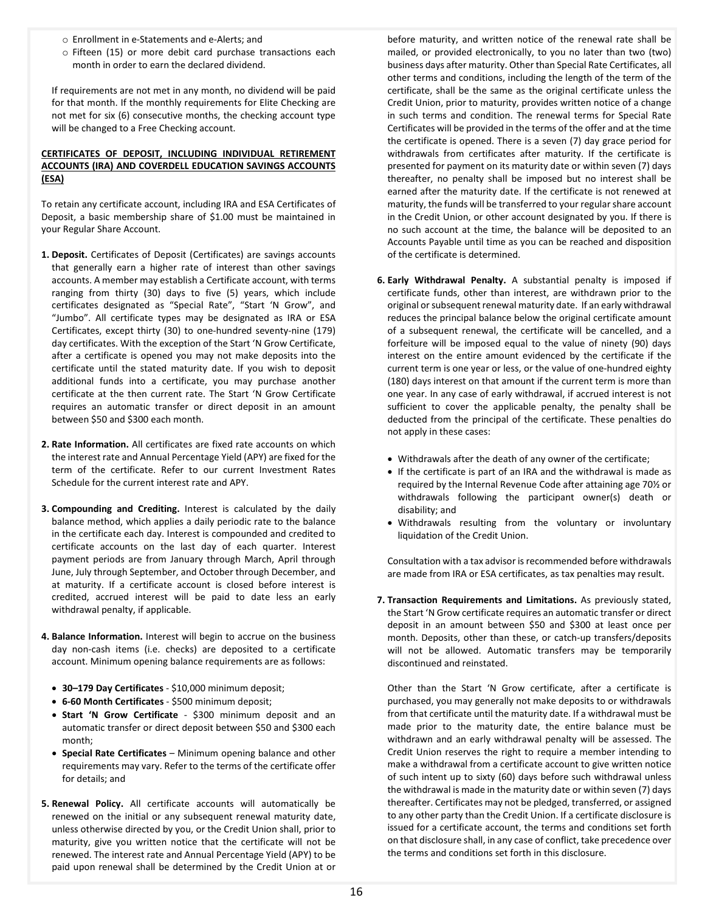- o Enrollment in e-Statements and e-Alerts; and
- o Fifteen (15) or more debit card purchase transactions each month in order to earn the declared dividend.

If requirements are not met in any month, no dividend will be paid for that month. If the monthly requirements for Elite Checking are not met for six (6) consecutive months, the checking account type will be changed to a Free Checking account.

# **CERTIFICATES OF DEPOSIT, INCLUDING INDIVIDUAL RETIREMENT ACCOUNTS (IRA) AND COVERDELL EDUCATION SAVINGS ACCOUNTS (ESA)**

To retain any certificate account, including IRA and ESA Certificates of Deposit, a basic membership share of \$1.00 must be maintained in your Regular Share Account.

- **1. Deposit.** Certificates of Deposit (Certificates) are savings accounts that generally earn a higher rate of interest than other savings accounts. A member may establish a Certificate account, with terms ranging from thirty (30) days to five (5) years, which include certificates designated as "Special Rate", "Start 'N Grow", and "Jumbo". All certificate types may be designated as IRA or ESA Certificates, except thirty (30) to one-hundred seventy-nine (179) day certificates. With the exception of the Start 'N Grow Certificate, after a certificate is opened you may not make deposits into the certificate until the stated maturity date. If you wish to deposit additional funds into a certificate, you may purchase another certificate at the then current rate. The Start 'N Grow Certificate requires an automatic transfer or direct deposit in an amount between \$50 and \$300 each month.
- **2. Rate Information.** All certificates are fixed rate accounts on which the interest rate and Annual Percentage Yield (APY) are fixed for the term of the certificate. Refer to our current Investment Rates Schedule for the current interest rate and APY.
- **3. Compounding and Crediting.** Interest is calculated by the daily balance method, which applies a daily periodic rate to the balance in the certificate each day. Interest is compounded and credited to certificate accounts on the last day of each quarter. Interest payment periods are from January through March, April through June, July through September, and October through December, and at maturity. If a certificate account is closed before interest is credited, accrued interest will be paid to date less an early withdrawal penalty, if applicable.
- **4. Balance Information.** Interest will begin to accrue on the business day non-cash items (i.e. checks) are deposited to a certificate account. Minimum opening balance requirements are as follows:
	- **30–179 Day Certificates**  \$10,000 minimum deposit;
	- **6-60 Month Certificates** \$500 minimum deposit;
	- **Start 'N Grow Certificate**  \$300 minimum deposit and an automatic transfer or direct deposit between \$50 and \$300 each month;
	- **Special Rate Certificates** Minimum opening balance and other requirements may vary. Refer to the terms of the certificate offer for details; and
- **5. Renewal Policy.** All certificate accounts will automatically be renewed on the initial or any subsequent renewal maturity date, unless otherwise directed by you, or the Credit Union shall, prior to maturity, give you written notice that the certificate will not be renewed. The interest rate and Annual Percentage Yield (APY) to be paid upon renewal shall be determined by the Credit Union at or

before maturity, and written notice of the renewal rate shall be mailed, or provided electronically, to you no later than two (two) business days after maturity. Other than Special Rate Certificates, all other terms and conditions, including the length of the term of the certificate, shall be the same as the original certificate unless the Credit Union, prior to maturity, provides written notice of a change in such terms and condition. The renewal terms for Special Rate Certificates will be provided in the terms of the offer and at the time the certificate is opened. There is a seven (7) day grace period for withdrawals from certificates after maturity. If the certificate is presented for payment on its maturity date or within seven (7) days thereafter, no penalty shall be imposed but no interest shall be earned after the maturity date. If the certificate is not renewed at maturity, the funds will be transferred to your regular share account in the Credit Union, or other account designated by you. If there is no such account at the time, the balance will be deposited to an Accounts Payable until time as you can be reached and disposition of the certificate is determined.

- **6. Early Withdrawal Penalty.** A substantial penalty is imposed if certificate funds, other than interest, are withdrawn prior to the original or subsequent renewal maturity date. If an early withdrawal reduces the principal balance below the original certificate amount of a subsequent renewal, the certificate will be cancelled, and a forfeiture will be imposed equal to the value of ninety (90) days interest on the entire amount evidenced by the certificate if the current term is one year or less, or the value of one-hundred eighty (180) days interest on that amount if the current term is more than one year. In any case of early withdrawal, if accrued interest is not sufficient to cover the applicable penalty, the penalty shall be deducted from the principal of the certificate. These penalties do not apply in these cases:
	- Withdrawals after the death of any owner of the certificate;
	- If the certificate is part of an IRA and the withdrawal is made as required by the Internal Revenue Code after attaining age 70½ or withdrawals following the participant owner(s) death or disability; and
	- Withdrawals resulting from the voluntary or involuntary liquidation of the Credit Union.

Consultation with a tax advisor is recommended before withdrawals are made from IRA or ESA certificates, as tax penalties may result.

**7. Transaction Requirements and Limitations.** As previously stated, the Start 'N Grow certificate requires an automatic transfer or direct deposit in an amount between \$50 and \$300 at least once per month. Deposits, other than these, or catch-up transfers/deposits will not be allowed. Automatic transfers may be temporarily discontinued and reinstated.

Other than the Start 'N Grow certificate, after a certificate is purchased, you may generally not make deposits to or withdrawals from that certificate until the maturity date. If a withdrawal must be made prior to the maturity date, the entire balance must be withdrawn and an early withdrawal penalty will be assessed. The Credit Union reserves the right to require a member intending to make a withdrawal from a certificate account to give written notice of such intent up to sixty (60) days before such withdrawal unless the withdrawal is made in the maturity date or within seven (7) days thereafter. Certificates may not be pledged, transferred, or assigned to any other party than the Credit Union. If a certificate disclosure is issued for a certificate account, the terms and conditions set forth on that disclosure shall, in any case of conflict, take precedence over the terms and conditions set forth in this disclosure.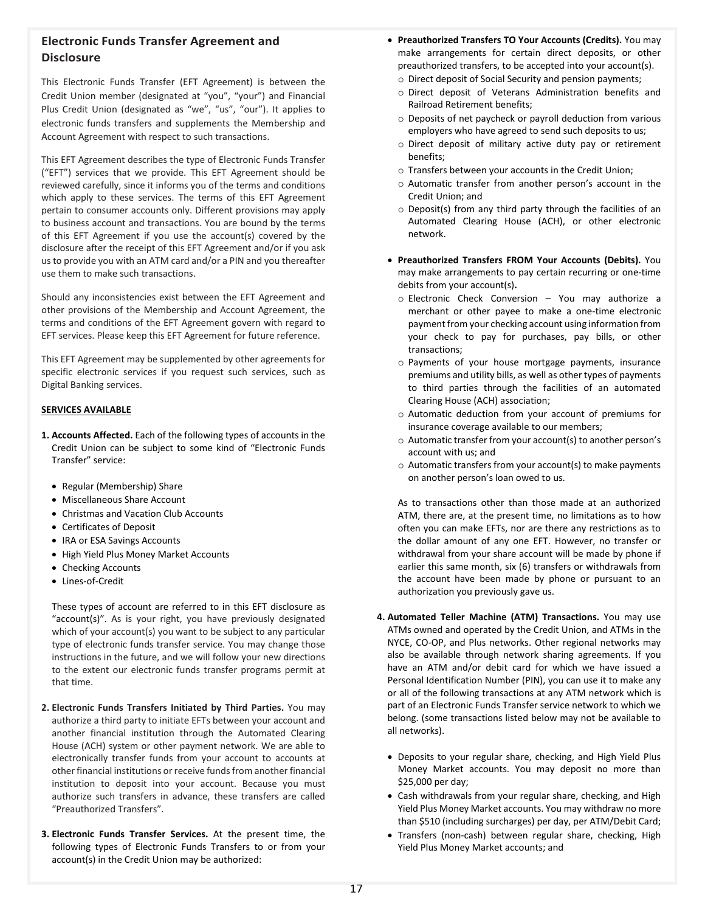# **Electronic Funds Transfer Agreement and Disclosure**

This Electronic Funds Transfer (EFT Agreement) is between the Credit Union member (designated at "you", "your") and Financial Plus Credit Union (designated as "we", "us", "our"). It applies to electronic funds transfers and supplements the Membership and Account Agreement with respect to such transactions.

This EFT Agreement describes the type of Electronic Funds Transfer ("EFT") services that we provide. This EFT Agreement should be reviewed carefully, since it informs you of the terms and conditions which apply to these services. The terms of this EFT Agreement pertain to consumer accounts only. Different provisions may apply to business account and transactions. You are bound by the terms of this EFT Agreement if you use the account(s) covered by the disclosure after the receipt of this EFT Agreement and/or if you ask us to provide you with an ATM card and/or a PIN and you thereafter use them to make such transactions.

Should any inconsistencies exist between the EFT Agreement and other provisions of the Membership and Account Agreement, the terms and conditions of the EFT Agreement govern with regard to EFT services. Please keep this EFT Agreement for future reference.

This EFT Agreement may be supplemented by other agreements for specific electronic services if you request such services, such as Digital Banking services.

# **SERVICES AVAILABLE**

- **1. Accounts Affected.** Each of the following types of accounts in the Credit Union can be subject to some kind of "Electronic Funds Transfer" service:
	- Regular (Membership) Share
	- Miscellaneous Share Account
	- Christmas and Vacation Club Accounts
	- Certificates of Deposit
	- IRA or ESA Savings Accounts
	- High Yield Plus Money Market Accounts
	- Checking Accounts
	- Lines-of-Credit

These types of account are referred to in this EFT disclosure as "account(s)". As is your right, you have previously designated which of your account(s) you want to be subject to any particular type of electronic funds transfer service. You may change those instructions in the future, and we will follow your new directions to the extent our electronic funds transfer programs permit at that time.

- **2. Electronic Funds Transfers Initiated by Third Parties.** You may authorize a third party to initiate EFTs between your account and another financial institution through the Automated Clearing House (ACH) system or other payment network. We are able to electronically transfer funds from your account to accounts at other financial institutions or receive funds from another financial institution to deposit into your account. Because you must authorize such transfers in advance, these transfers are called "Preauthorized Transfers".
- **3. Electronic Funds Transfer Services.** At the present time, the following types of Electronic Funds Transfers to or from your account(s) in the Credit Union may be authorized:
- **Preauthorized Transfers TO Your Accounts (Credits).** You may make arrangements for certain direct deposits, or other preauthorized transfers, to be accepted into your account(s).
	- o Direct deposit of Social Security and pension payments;
	- o Direct deposit of Veterans Administration benefits and Railroad Retirement benefits;
	- o Deposits of net paycheck or payroll deduction from various employers who have agreed to send such deposits to us;
	- o Direct deposit of military active duty pay or retirement benefits;
	- o Transfers between your accounts in the Credit Union;
	- o Automatic transfer from another person's account in the Credit Union; and
	- o Deposit(s) from any third party through the facilities of an Automated Clearing House (ACH), or other electronic network.
- **Preauthorized Transfers FROM Your Accounts (Debits).** You may make arrangements to pay certain recurring or one-time debits from your account(s)**.**
	- o Electronic Check Conversion You may authorize a merchant or other payee to make a one-time electronic payment from your checking account using information from your check to pay for purchases, pay bills, or other transactions;
	- o Payments of your house mortgage payments, insurance premiums and utility bills, as well as other types of payments to third parties through the facilities of an automated Clearing House (ACH) association;
	- o Automatic deduction from your account of premiums for insurance coverage available to our members;
	- o Automatic transfer from your account(s) to another person's account with us; and
	- o Automatic transfers from your account(s) to make payments on another person's loan owed to us.

As to transactions other than those made at an authorized ATM, there are, at the present time, no limitations as to how often you can make EFTs, nor are there any restrictions as to the dollar amount of any one EFT. However, no transfer or withdrawal from your share account will be made by phone if earlier this same month, six (6) transfers or withdrawals from the account have been made by phone or pursuant to an authorization you previously gave us.

- **4. Automated Teller Machine (ATM) Transactions.** You may use ATMs owned and operated by the Credit Union, and ATMs in the NYCE, CO-OP, and Plus networks. Other regional networks may also be available through network sharing agreements. If you have an ATM and/or debit card for which we have issued a Personal Identification Number (PIN), you can use it to make any or all of the following transactions at any ATM network which is part of an Electronic Funds Transfer service network to which we belong. (some transactions listed below may not be available to all networks).
	- Deposits to your regular share, checking, and High Yield Plus Money Market accounts. You may deposit no more than \$25,000 per day;
	- Cash withdrawals from your regular share, checking, and High Yield Plus Money Market accounts. You may withdraw no more than \$510 (including surcharges) per day, per ATM/Debit Card;
	- Transfers (non-cash) between regular share, checking, High Yield Plus Money Market accounts; and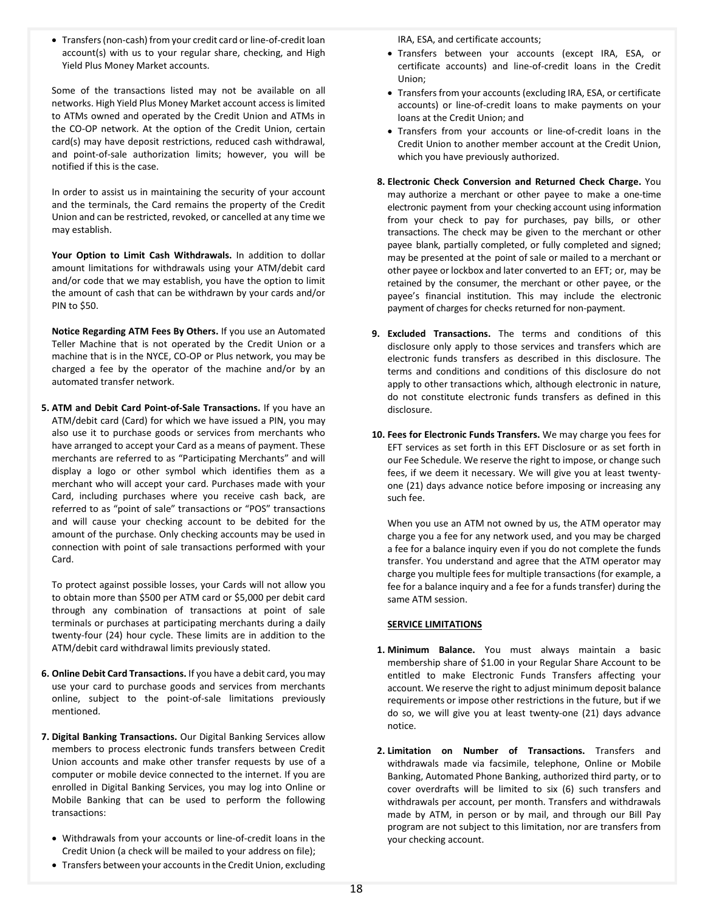• Transfers (non-cash) from your credit card or line-of-credit loan account(s) with us to your regular share, checking, and High Yield Plus Money Market accounts.

Some of the transactions listed may not be available on all networks. High Yield Plus Money Market account access is limited to ATMs owned and operated by the Credit Union and ATMs in the CO-OP network. At the option of the Credit Union, certain card(s) may have deposit restrictions, reduced cash withdrawal, and point-of-sale authorization limits; however, you will be notified if this is the case.

In order to assist us in maintaining the security of your account and the terminals, the Card remains the property of the Credit Union and can be restricted, revoked, or cancelled at any time we may establish.

**Your Option to Limit Cash Withdrawals.** In addition to dollar amount limitations for withdrawals using your ATM/debit card and/or code that we may establish, you have the option to limit the amount of cash that can be withdrawn by your cards and/or PIN to \$50.

**Notice Regarding ATM Fees By Others.** If you use an Automated Teller Machine that is not operated by the Credit Union or a machine that is in the NYCE, CO-OP or Plus network, you may be charged a fee by the operator of the machine and/or by an automated transfer network.

**5. ATM and Debit Card Point-of-Sale Transactions.** If you have an ATM/debit card (Card) for which we have issued a PIN, you may also use it to purchase goods or services from merchants who have arranged to accept your Card as a means of payment. These merchants are referred to as "Participating Merchants" and will display a logo or other symbol which identifies them as a merchant who will accept your card. Purchases made with your Card, including purchases where you receive cash back, are referred to as "point of sale" transactions or "POS" transactions and will cause your checking account to be debited for the amount of the purchase. Only checking accounts may be used in connection with point of sale transactions performed with your Card.

To protect against possible losses, your Cards will not allow you to obtain more than \$500 per ATM card or \$5,000 per debit card through any combination of transactions at point of sale terminals or purchases at participating merchants during a daily twenty-four (24) hour cycle. These limits are in addition to the ATM/debit card withdrawal limits previously stated.

- **6. Online Debit Card Transactions.** If you have a debit card, you may use your card to purchase goods and services from merchants online, subject to the point-of-sale limitations previously mentioned.
- **7. Digital Banking Transactions.** Our Digital Banking Services allow members to process electronic funds transfers between Credit Union accounts and make other transfer requests by use of a computer or mobile device connected to the internet. If you are enrolled in Digital Banking Services, you may log into Online or Mobile Banking that can be used to perform the following transactions:
	- Withdrawals from your accounts or line-of-credit loans in the Credit Union (a check will be mailed to your address on file);
	- Transfers between your accounts in the Credit Union, excluding

IRA, ESA, and certificate accounts;

- Transfers between your accounts (except IRA, ESA, or certificate accounts) and line-of-credit loans in the Credit Union;
- Transfers from your accounts (excluding IRA, ESA, or certificate accounts) or line-of-credit loans to make payments on your loans at the Credit Union; and
- Transfers from your accounts or line-of-credit loans in the Credit Union to another member account at the Credit Union, which you have previously authorized.
- **8. Electronic Check Conversion and Returned Check Charge.** You may authorize a merchant or other payee to make a one-time electronic payment from your checking account using information from your check to pay for purchases, pay bills, or other transactions. The check may be given to the merchant or other payee blank, partially completed, or fully completed and signed; may be presented at the point of sale or mailed to a merchant or other payee or lockbox and later converted to an EFT; or, may be retained by the consumer, the merchant or other payee, or the payee's financial institution. This may include the electronic payment of charges for checks returned for non-payment.
- **9. Excluded Transactions.** The terms and conditions of this disclosure only apply to those services and transfers which are electronic funds transfers as described in this disclosure. The terms and conditions and conditions of this disclosure do not apply to other transactions which, although electronic in nature, do not constitute electronic funds transfers as defined in this disclosure.
- **10. Fees for Electronic Funds Transfers.** We may charge you fees for EFT services as set forth in this EFT Disclosure or as set forth in our Fee Schedule. We reserve the right to impose, or change such fees, if we deem it necessary. We will give you at least twentyone (21) days advance notice before imposing or increasing any such fee.

When you use an ATM not owned by us, the ATM operator may charge you a fee for any network used, and you may be charged a fee for a balance inquiry even if you do not complete the funds transfer. You understand and agree that the ATM operator may charge you multiple fees for multiple transactions (for example, a fee for a balance inquiry and a fee for a funds transfer) during the same ATM session.

## **SERVICE LIMITATIONS**

- **1. Minimum Balance.** You must always maintain a basic membership share of \$1.00 in your Regular Share Account to be entitled to make Electronic Funds Transfers affecting your account. We reserve the right to adjust minimum deposit balance requirements or impose other restrictions in the future, but if we do so, we will give you at least twenty-one (21) days advance notice.
- **2. Limitation on Number of Transactions.** Transfers and withdrawals made via facsimile, telephone, Online or Mobile Banking, Automated Phone Banking, authorized third party, or to cover overdrafts will be limited to six (6) such transfers and withdrawals per account, per month. Transfers and withdrawals made by ATM, in person or by mail, and through our Bill Pay program are not subject to this limitation, nor are transfers from your checking account.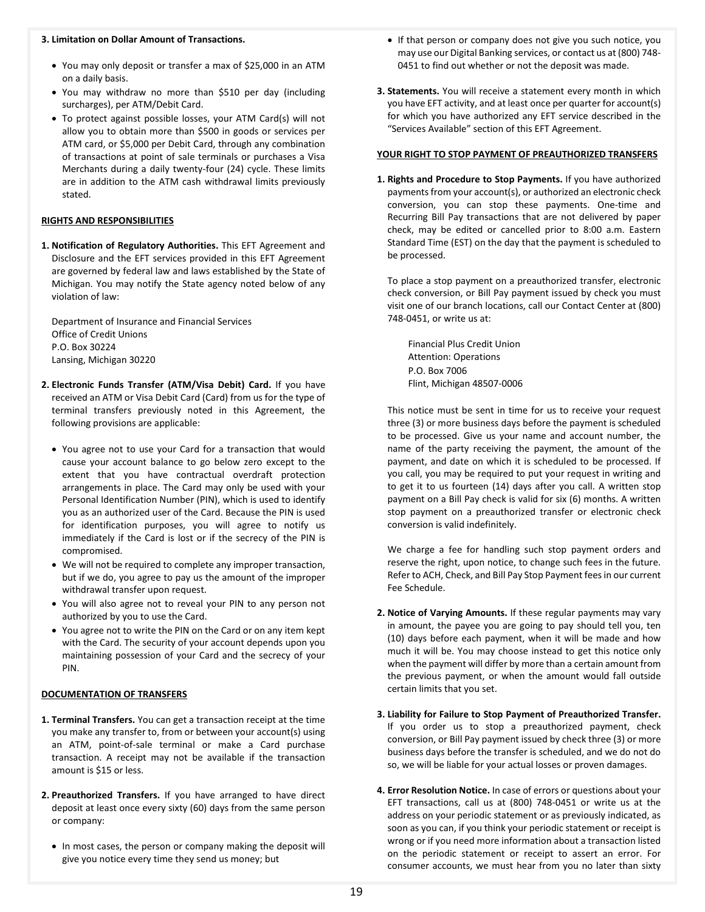## **3. Limitation on Dollar Amount of Transactions.**

- You may only deposit or transfer a max of \$25,000 in an ATM on a daily basis.
- You may withdraw no more than \$510 per day (including surcharges), per ATM/Debit Card.
- To protect against possible losses, your ATM Card(s) will not allow you to obtain more than \$500 in goods or services per ATM card, or \$5,000 per Debit Card, through any combination of transactions at point of sale terminals or purchases a Visa Merchants during a daily twenty-four (24) cycle. These limits are in addition to the ATM cash withdrawal limits previously stated.

#### **RIGHTS AND RESPONSIBILITIES**

**1. Notification of Regulatory Authorities.** This EFT Agreement and Disclosure and the EFT services provided in this EFT Agreement are governed by federal law and laws established by the State of Michigan. You may notify the State agency noted below of any violation of law:

Department of Insurance and Financial Services Office of Credit Unions P.O. Box 30224 Lansing, Michigan 30220

- **2. Electronic Funds Transfer (ATM/Visa Debit) Card.** If you have received an ATM or Visa Debit Card (Card) from us for the type of terminal transfers previously noted in this Agreement, the following provisions are applicable:
	- You agree not to use your Card for a transaction that would cause your account balance to go below zero except to the extent that you have contractual overdraft protection arrangements in place. The Card may only be used with your Personal Identification Number (PIN), which is used to identify you as an authorized user of the Card. Because the PIN is used for identification purposes, you will agree to notify us immediately if the Card is lost or if the secrecy of the PIN is compromised.
	- We will not be required to complete any improper transaction, but if we do, you agree to pay us the amount of the improper withdrawal transfer upon request.
	- You will also agree not to reveal your PIN to any person not authorized by you to use the Card.
	- You agree not to write the PIN on the Card or on any item kept with the Card. The security of your account depends upon you maintaining possession of your Card and the secrecy of your PIN.

### **DOCUMENTATION OF TRANSFERS**

- **1. Terminal Transfers.** You can get a transaction receipt at the time you make any transfer to, from or between your account(s) using an ATM, point-of-sale terminal or make a Card purchase transaction. A receipt may not be available if the transaction amount is \$15 or less.
- **2. Preauthorized Transfers.** If you have arranged to have direct deposit at least once every sixty (60) days from the same person or company:
	- In most cases, the person or company making the deposit will give you notice every time they send us money; but
- If that person or company does not give you such notice, you may use our Digital Banking services, or contact us at (800) 748- 0451 to find out whether or not the deposit was made.
- **3. Statements.** You will receive a statement every month in which you have EFT activity, and at least once per quarter for account(s) for which you have authorized any EFT service described in the "Services Available" section of this EFT Agreement.

#### **YOUR RIGHT TO STOP PAYMENT OF PREAUTHORIZED TRANSFERS**

**1. Rights and Procedure to Stop Payments.** If you have authorized payments from your account(s), or authorized an electronic check conversion, you can stop these payments. One-time and Recurring Bill Pay transactions that are not delivered by paper check, may be edited or cancelled prior to 8:00 a.m. Eastern Standard Time (EST) on the day that the payment is scheduled to be processed.

To place a stop payment on a preauthorized transfer, electronic check conversion, or Bill Pay payment issued by check you must visit one of our branch locations, call our Contact Center at (800) 748-0451, or write us at:

Financial Plus Credit Union Attention: Operations P.O. Box 7006 Flint, Michigan 48507-0006

This notice must be sent in time for us to receive your request three (3) or more business days before the payment is scheduled to be processed. Give us your name and account number, the name of the party receiving the payment, the amount of the payment, and date on which it is scheduled to be processed. If you call, you may be required to put your request in writing and to get it to us fourteen (14) days after you call. A written stop payment on a Bill Pay check is valid for six (6) months. A written stop payment on a preauthorized transfer or electronic check conversion is valid indefinitely.

We charge a fee for handling such stop payment orders and reserve the right, upon notice, to change such fees in the future. Refer to ACH, Check, and Bill Pay Stop Payment fees in our current Fee Schedule.

- **2. Notice of Varying Amounts.** If these regular payments may vary in amount, the payee you are going to pay should tell you, ten (10) days before each payment, when it will be made and how much it will be. You may choose instead to get this notice only when the payment will differ by more than a certain amount from the previous payment, or when the amount would fall outside certain limits that you set.
- **3. Liability for Failure to Stop Payment of Preauthorized Transfer.**  If you order us to stop a preauthorized payment, check conversion, or Bill Pay payment issued by check three (3) or more business days before the transfer is scheduled, and we do not do so, we will be liable for your actual losses or proven damages.
- **4. Error Resolution Notice.** In case of errors or questions about your EFT transactions, call us at (800) 748-0451 or write us at the address on your periodic statement or as previously indicated, as soon as you can, if you think your periodic statement or receipt is wrong or if you need more information about a transaction listed on the periodic statement or receipt to assert an error. For consumer accounts, we must hear from you no later than sixty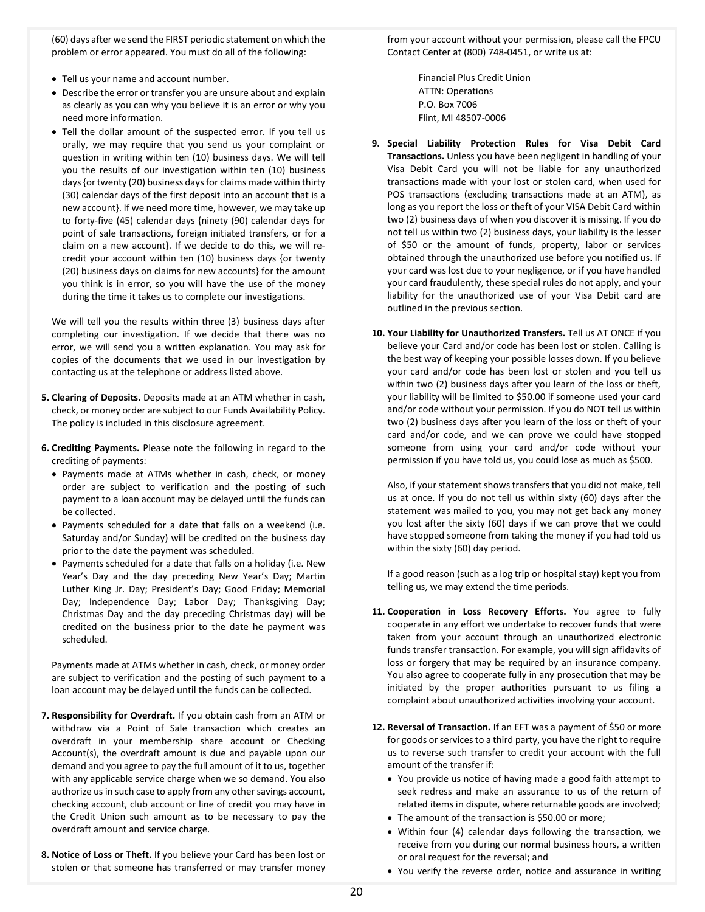(60) days after we send the FIRST periodic statement on which the problem or error appeared. You must do all of the following:

- Tell us your name and account number.
- Describe the error or transfer you are unsure about and explain as clearly as you can why you believe it is an error or why you need more information.
- Tell the dollar amount of the suspected error. If you tell us orally, we may require that you send us your complaint or question in writing within ten (10) business days. We will tell you the results of our investigation within ten (10) business days {or twenty (20) business days for claims made within thirty (30) calendar days of the first deposit into an account that is a new account}. If we need more time, however, we may take up to forty-five (45) calendar days {ninety (90) calendar days for point of sale transactions, foreign initiated transfers, or for a claim on a new account}. If we decide to do this, we will recredit your account within ten (10) business days {or twenty (20) business days on claims for new accounts} for the amount you think is in error, so you will have the use of the money during the time it takes us to complete our investigations.

We will tell you the results within three (3) business days after completing our investigation. If we decide that there was no error, we will send you a written explanation. You may ask for copies of the documents that we used in our investigation by contacting us at the telephone or address listed above.

- **5. Clearing of Deposits.** Deposits made at an ATM whether in cash, check, or money order are subject to our Funds Availability Policy. The policy is included in this disclosure agreement.
- **6. Crediting Payments.** Please note the following in regard to the crediting of payments:
	- Payments made at ATMs whether in cash, check, or money order are subject to verification and the posting of such payment to a loan account may be delayed until the funds can be collected.
	- Payments scheduled for a date that falls on a weekend (i.e. Saturday and/or Sunday) will be credited on the business day prior to the date the payment was scheduled.
	- Payments scheduled for a date that falls on a holiday (i.e. New Year's Day and the day preceding New Year's Day; Martin Luther King Jr. Day; President's Day; Good Friday; Memorial Day; Independence Day; Labor Day; Thanksgiving Day; Christmas Day and the day preceding Christmas day) will be credited on the business prior to the date he payment was scheduled.

Payments made at ATMs whether in cash, check, or money order are subject to verification and the posting of such payment to a loan account may be delayed until the funds can be collected.

- **7. Responsibility for Overdraft.** If you obtain cash from an ATM or withdraw via a Point of Sale transaction which creates an overdraft in your membership share account or Checking Account(s), the overdraft amount is due and payable upon our demand and you agree to pay the full amount of it to us, together with any applicable service charge when we so demand. You also authorize us in such case to apply from any other savings account, checking account, club account or line of credit you may have in the Credit Union such amount as to be necessary to pay the overdraft amount and service charge.
- **8. Notice of Loss or Theft.** If you believe your Card has been lost or stolen or that someone has transferred or may transfer money

from your account without your permission, please call the FPCU Contact Center at (800) 748-0451, or write us at:

> Financial Plus Credit Union ATTN: Operations P.O. Box 7006 Flint, MI 48507-0006

- **9. Special Liability Protection Rules for Visa Debit Card Transactions.** Unless you have been negligent in handling of your Visa Debit Card you will not be liable for any unauthorized transactions made with your lost or stolen card, when used for POS transactions (excluding transactions made at an ATM), as long as you report the loss or theft of your VISA Debit Card within two (2) business days of when you discover it is missing. If you do not tell us within two (2) business days, your liability is the lesser of \$50 or the amount of funds, property, labor or services obtained through the unauthorized use before you notified us. If your card was lost due to your negligence, or if you have handled your card fraudulently, these special rules do not apply, and your liability for the unauthorized use of your Visa Debit card are outlined in the previous section.
- **10. Your Liability for Unauthorized Transfers.** Tell us AT ONCE if you believe your Card and/or code has been lost or stolen. Calling is the best way of keeping your possible losses down. If you believe your card and/or code has been lost or stolen and you tell us within two (2) business days after you learn of the loss or theft, your liability will be limited to \$50.00 if someone used your card and/or code without your permission. If you do NOT tell us within two (2) business days after you learn of the loss or theft of your card and/or code, and we can prove we could have stopped someone from using your card and/or code without your permission if you have told us, you could lose as much as \$500.

Also, if your statement shows transfers that you did not make, tell us at once. If you do not tell us within sixty (60) days after the statement was mailed to you, you may not get back any money you lost after the sixty (60) days if we can prove that we could have stopped someone from taking the money if you had told us within the sixty (60) day period.

If a good reason (such as a log trip or hospital stay) kept you from telling us, we may extend the time periods.

- **11. Cooperation in Loss Recovery Efforts.** You agree to fully cooperate in any effort we undertake to recover funds that were taken from your account through an unauthorized electronic funds transfer transaction. For example, you will sign affidavits of loss or forgery that may be required by an insurance company. You also agree to cooperate fully in any prosecution that may be initiated by the proper authorities pursuant to us filing a complaint about unauthorized activities involving your account.
- **12. Reversal of Transaction.** If an EFT was a payment of \$50 or more for goods or services to a third party, you have the right to require us to reverse such transfer to credit your account with the full amount of the transfer if:
	- You provide us notice of having made a good faith attempt to seek redress and make an assurance to us of the return of related items in dispute, where returnable goods are involved;
	- The amount of the transaction is \$50.00 or more;
	- Within four (4) calendar days following the transaction, we receive from you during our normal business hours, a written or oral request for the reversal; and
	- You verify the reverse order, notice and assurance in writing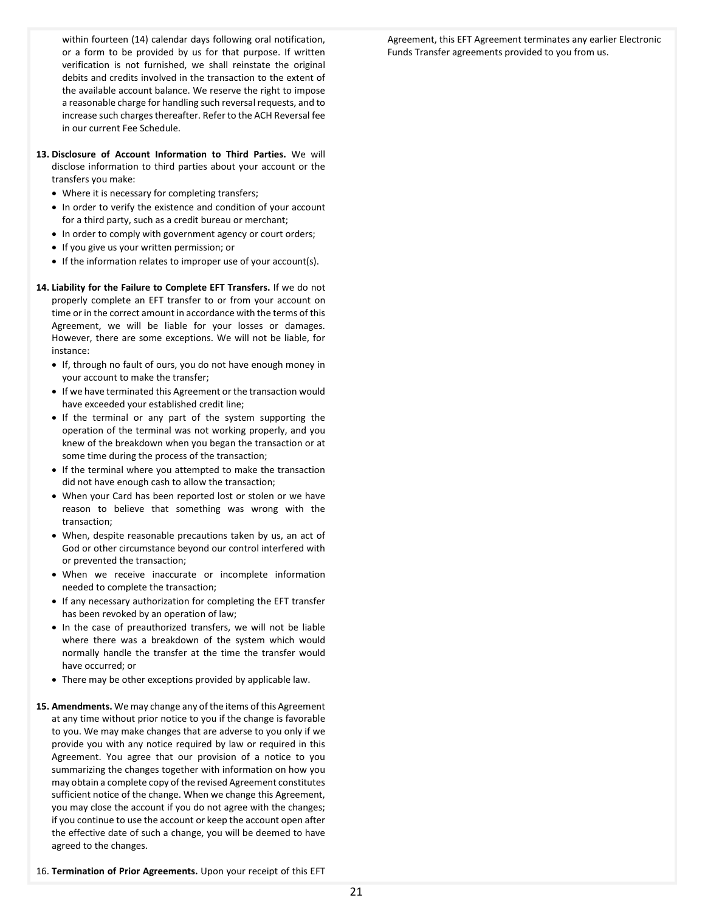within fourteen (14) calendar days following oral notification, or a form to be provided by us for that purpose. If written verification is not furnished, we shall reinstate the original debits and credits involved in the transaction to the extent of the available account balance. We reserve the right to impose a reasonable charge for handling such reversal requests, and to increase such charges thereafter. Refer to the ACH Reversal fee in our current Fee Schedule.

- **13. Disclosure of Account Information to Third Parties.** We will disclose information to third parties about your account or the transfers you make:
	- Where it is necessary for completing transfers;
	- In order to verify the existence and condition of your account for a third party, such as a credit bureau or merchant;
	- In order to comply with government agency or court orders;
	- If you give us your written permission; or
	- If the information relates to improper use of your account(s).
- **14. Liability for the Failure to Complete EFT Transfers.** If we do not properly complete an EFT transfer to or from your account on time or in the correct amount in accordance with the terms of this Agreement, we will be liable for your losses or damages. However, there are some exceptions. We will not be liable, for instance:
	- If, through no fault of ours, you do not have enough money in your account to make the transfer;
	- If we have terminated this Agreement or the transaction would have exceeded your established credit line;
	- If the terminal or any part of the system supporting the operation of the terminal was not working properly, and you knew of the breakdown when you began the transaction or at some time during the process of the transaction;
	- If the terminal where you attempted to make the transaction did not have enough cash to allow the transaction;
	- When your Card has been reported lost or stolen or we have reason to believe that something was wrong with the transaction;
	- When, despite reasonable precautions taken by us, an act of God or other circumstance beyond our control interfered with or prevented the transaction;
	- When we receive inaccurate or incomplete information needed to complete the transaction;
	- If any necessary authorization for completing the EFT transfer has been revoked by an operation of law;
	- In the case of preauthorized transfers, we will not be liable where there was a breakdown of the system which would normally handle the transfer at the time the transfer would have occurred; or
	- There may be other exceptions provided by applicable law.
- **15. Amendments.** We may change any of the items of this Agreement at any time without prior notice to you if the change is favorable to you. We may make changes that are adverse to you only if we provide you with any notice required by law or required in this Agreement. You agree that our provision of a notice to you summarizing the changes together with information on how you may obtain a complete copy of the revised Agreement constitutes sufficient notice of the change. When we change this Agreement, you may close the account if you do not agree with the changes; if you continue to use the account or keep the account open after the effective date of such a change, you will be deemed to have agreed to the changes.

16. **Termination of Prior Agreements.** Upon your receipt of this EFT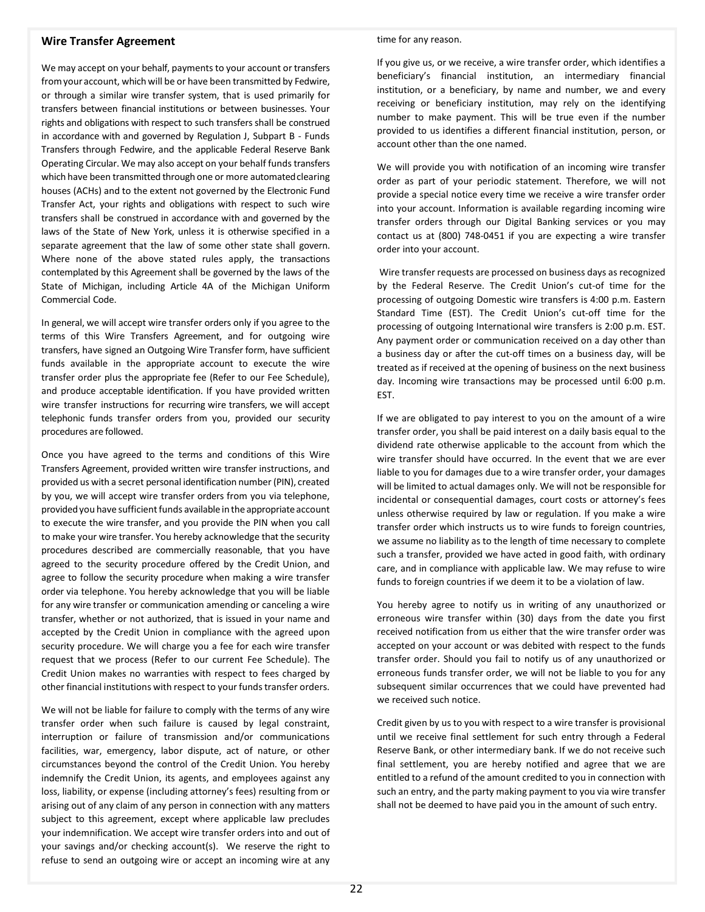# **Wire Transfer Agreement**

We may accept on your behalf, payments to your account or transfers fromyour account, which will be or have been transmitted by Fedwire, or through a similar wire transfer system, that is used primarily for transfers between financial institutions or between businesses. Your rights and obligations with respect to such transfers shall be construed in accordance with and governed by Regulation J, Subpart B - Funds Transfers through Fedwire, and the applicable Federal Reserve Bank Operating Circular. We may also accept on your behalf funds transfers which have been transmitted through one or more automated clearing houses (ACHs) and to the extent not governed by the Electronic Fund Transfer Act, your rights and obligations with respect to such wire transfers shall be construed in accordance with and governed by the laws of the State of New York, unless it is otherwise specified in a separate agreement that the law of some other state shall govern. Where none of the above stated rules apply, the transactions contemplated by this Agreement shall be governed by the laws of the State of Michigan, including Article 4A of the Michigan Uniform Commercial Code.

In general, we will accept wire transfer orders only if you agree to the terms of this Wire Transfers Agreement, and for outgoing wire transfers, have signed an Outgoing Wire Transfer form, have sufficient funds available in the appropriate account to execute the wire transfer order plus the appropriate fee (Refer to our Fee Schedule), and produce acceptable identification. If you have provided written wire transfer instructions for recurring wire transfers, we will accept telephonic funds transfer orders from you, provided our security procedures are followed.

Once you have agreed to the terms and conditions of this Wire Transfers Agreement, provided written wire transfer instructions, and provided us with a secret personal identification number(PIN), created by you, we will accept wire transfer orders from you via telephone, provided you have sufficient funds available in the appropriate account to execute the wire transfer, and you provide the PIN when you call to make your wire transfer. You hereby acknowledge that the security procedures described are commercially reasonable, that you have agreed to the security procedure offered by the Credit Union, and agree to follow the security procedure when making a wire transfer order via telephone. You hereby acknowledge that you will be liable for any wire transfer or communication amending or canceling a wire transfer, whether or not authorized, that is issued in your name and accepted by the Credit Union in compliance with the agreed upon security procedure. We will charge you a fee for each wire transfer request that we process (Refer to our current Fee Schedule). The Credit Union makes no warranties with respect to fees charged by other financial institutions with respect to your funds transfer orders.

We will not be liable for failure to comply with the terms of any wire transfer order when such failure is caused by legal constraint, interruption or failure of transmission and/or communications facilities, war, emergency, labor dispute, act of nature, or other circumstances beyond the control of the Credit Union. You hereby indemnify the Credit Union, its agents, and employees against any loss, liability, or expense (including attorney's fees) resulting from or arising out of any claim of any person in connection with any matters subject to this agreement, except where applicable law precludes your indemnification. We accept wire transfer orders into and out of your savings and/or checking account(s). We reserve the right to refuse to send an outgoing wire or accept an incoming wire at any

#### time for any reason.

If you give us, or we receive, a wire transfer order, which identifies a beneficiary's financial institution, an intermediary financial institution, or a beneficiary, by name and number, we and every receiving or beneficiary institution, may rely on the identifying number to make payment. This will be true even if the number provided to us identifies a different financial institution, person, or account other than the one named.

We will provide you with notification of an incoming wire transfer order as part of your periodic statement. Therefore, we will not provide a special notice every time we receive a wire transfer order into your account. Information is available regarding incoming wire transfer orders through our Digital Banking services or you may contact us at (800) 748-0451 if you are expecting a wire transfer order into your account.

Wire transfer requests are processed on business days as recognized by the Federal Reserve. The Credit Union's cut-of time for the processing of outgoing Domestic wire transfers is 4:00 p.m. Eastern Standard Time (EST). The Credit Union's cut-off time for the processing of outgoing International wire transfers is 2:00 p.m. EST. Any payment order or communication received on a day other than a business day or after the cut-off times on a business day, will be treated as if received at the opening of business on the next business day. Incoming wire transactions may be processed until 6:00 p.m. EST.

If we are obligated to pay interest to you on the amount of a wire transfer order, you shall be paid interest on a daily basis equal to the dividend rate otherwise applicable to the account from which the wire transfer should have occurred. In the event that we are ever liable to you for damages due to a wire transfer order, your damages will be limited to actual damages only. We will not be responsible for incidental or consequential damages, court costs or attorney's fees unless otherwise required by law or regulation. If you make a wire transfer order which instructs us to wire funds to foreign countries, we assume no liability as to the length of time necessary to complete such a transfer, provided we have acted in good faith, with ordinary care, and in compliance with applicable law. We may refuse to wire funds to foreign countries if we deem it to be a violation of law.

You hereby agree to notify us in writing of any unauthorized or erroneous wire transfer within (30) days from the date you first received notification from us either that the wire transfer order was accepted on your account or was debited with respect to the funds transfer order. Should you fail to notify us of any unauthorized or erroneous funds transfer order, we will not be liable to you for any subsequent similar occurrences that we could have prevented had we received such notice.

Credit given by us to you with respect to a wire transfer is provisional until we receive final settlement for such entry through a Federal Reserve Bank, or other intermediary bank. If we do not receive such final settlement, you are hereby notified and agree that we are entitled to a refund of the amount credited to you in connection with such an entry, and the party making payment to you via wire transfer shall not be deemed to have paid you in the amount of such entry.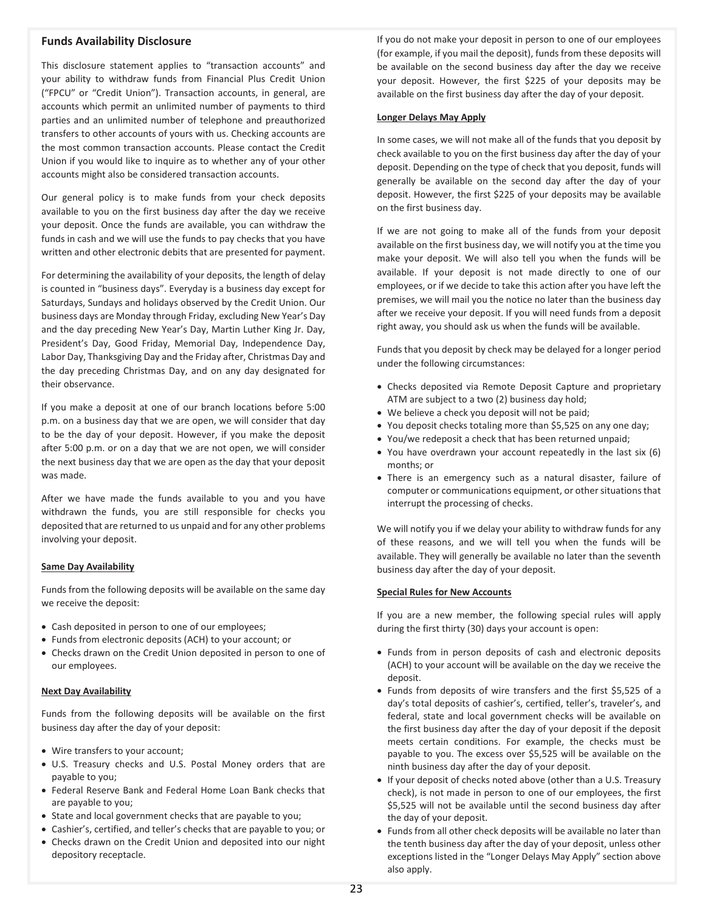# **Funds Availability Disclosure**

This disclosure statement applies to "transaction accounts" and your ability to withdraw funds from Financial Plus Credit Union ("FPCU" or "Credit Union"). Transaction accounts, in general, are accounts which permit an unlimited number of payments to third parties and an unlimited number of telephone and preauthorized transfers to other accounts of yours with us. Checking accounts are the most common transaction accounts. Please contact the Credit Union if you would like to inquire as to whether any of your other accounts might also be considered transaction accounts.

Our general policy is to make funds from your check deposits available to you on the first business day after the day we receive your deposit. Once the funds are available, you can withdraw the funds in cash and we will use the funds to pay checks that you have written and other electronic debits that are presented for payment.

For determining the availability of your deposits, the length of delay is counted in "business days". Everyday is a business day except for Saturdays, Sundays and holidays observed by the Credit Union. Our business days are Monday through Friday, excluding New Year's Day and the day preceding New Year's Day, Martin Luther King Jr. Day, President's Day, Good Friday, Memorial Day, Independence Day, Labor Day, Thanksgiving Day and the Friday after, Christmas Day and the day preceding Christmas Day, and on any day designated for their observance.

If you make a deposit at one of our branch locations before 5:00 p.m. on a business day that we are open, we will consider that day to be the day of your deposit. However, if you make the deposit after 5:00 p.m. or on a day that we are not open, we will consider the next business day that we are open as the day that your deposit was made.

After we have made the funds available to you and you have withdrawn the funds, you are still responsible for checks you deposited that are returned to us unpaid and for any other problems involving your deposit.

## **Same Day Availability**

Funds from the following deposits will be available on the same day we receive the deposit:

- Cash deposited in person to one of our employees;
- Funds from electronic deposits (ACH) to your account; or
- Checks drawn on the Credit Union deposited in person to one of our employees.

## **Next Day Availability**

Funds from the following deposits will be available on the first business day after the day of your deposit:

- Wire transfers to your account;
- U.S. Treasury checks and U.S. Postal Money orders that are payable to you;
- Federal Reserve Bank and Federal Home Loan Bank checks that are payable to you;
- State and local government checks that are payable to you;
- Cashier's, certified, and teller's checks that are payable to you; or
- Checks drawn on the Credit Union and deposited into our night depository receptacle.

If you do not make your deposit in person to one of our employees (for example, if you mail the deposit), funds from these deposits will be available on the second business day after the day we receive your deposit. However, the first \$225 of your deposits may be available on the first business day after the day of your deposit.

### **Longer Delays May Apply**

In some cases, we will not make all of the funds that you deposit by check available to you on the first business day after the day of your deposit. Depending on the type of check that you deposit, funds will generally be available on the second day after the day of your deposit. However, the first \$225 of your deposits may be available on the first business day.

If we are not going to make all of the funds from your deposit available on the first business day, we will notify you at the time you make your deposit. We will also tell you when the funds will be available. If your deposit is not made directly to one of our employees, or if we decide to take this action after you have left the premises, we will mail you the notice no later than the business day after we receive your deposit. If you will need funds from a deposit right away, you should ask us when the funds will be available.

Funds that you deposit by check may be delayed for a longer period under the following circumstances:

- Checks deposited via Remote Deposit Capture and proprietary ATM are subject to a two (2) business day hold;
- We believe a check you deposit will not be paid;
- You deposit checks totaling more than \$5,525 on any one day;
- You/we redeposit a check that has been returned unpaid;
- You have overdrawn your account repeatedly in the last six (6) months; or
- There is an emergency such as a natural disaster, failure of computer or communications equipment, or other situations that interrupt the processing of checks.

We will notify you if we delay your ability to withdraw funds for any of these reasons, and we will tell you when the funds will be available. They will generally be available no later than the seventh business day after the day of your deposit.

## **Special Rules for New Accounts**

If you are a new member, the following special rules will apply during the first thirty (30) days your account is open:

- Funds from in person deposits of cash and electronic deposits (ACH) to your account will be available on the day we receive the deposit.
- Funds from deposits of wire transfers and the first \$5,525 of a day's total deposits of cashier's, certified, teller's, traveler's, and federal, state and local government checks will be available on the first business day after the day of your deposit if the deposit meets certain conditions. For example, the checks must be payable to you. The excess over \$5,525 will be available on the ninth business day after the day of your deposit.
- If your deposit of checks noted above (other than a U.S. Treasury check), is not made in person to one of our employees, the first \$5,525 will not be available until the second business day after the day of your deposit.
- Funds from all other check deposits will be available no later than the tenth business day after the day of your deposit, unless other exceptions listed in the "Longer Delays May Apply" section above also apply.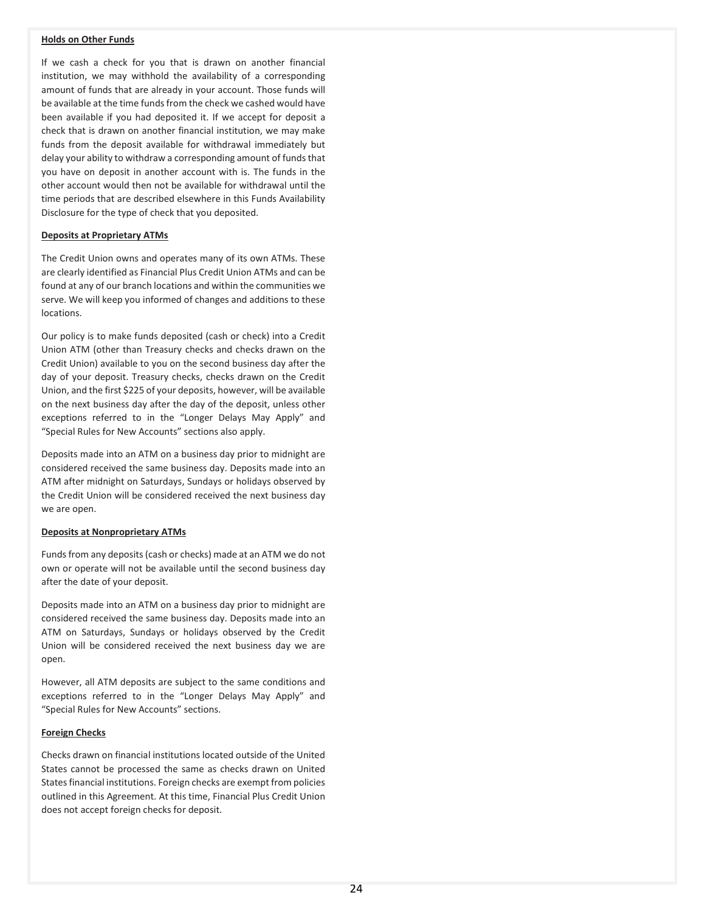# **Holds on Other Funds**

If we cash a check for you that is drawn on another financial institution, we may withhold the availability of a corresponding amount of funds that are already in your account. Those funds will be available at the time funds from the check we cashed would have been available if you had deposited it. If we accept for deposit a check that is drawn on another financial institution, we may make funds from the deposit available for withdrawal immediately but delay your ability to withdraw a corresponding amount of funds that you have on deposit in another account with is. The funds in the other account would then not be available for withdrawal until the time periods that are described elsewhere in this Funds Availability Disclosure for the type of check that you deposited.

## **Deposits at Proprietary ATMs**

The Credit Union owns and operates many of its own ATMs. These are clearly identified as Financial Plus Credit Union ATMs and can be found at any of our branch locations and within the communities we serve. We will keep you informed of changes and additions to these locations.

Our policy is to make funds deposited (cash or check) into a Credit Union ATM (other than Treasury checks and checks drawn on the Credit Union) available to you on the second business day after the day of your deposit. Treasury checks, checks drawn on the Credit Union, and the first \$225 of your deposits, however, will be available on the next business day after the day of the deposit, unless other exceptions referred to in the "Longer Delays May Apply" and "Special Rules for New Accounts" sections also apply.

Deposits made into an ATM on a business day prior to midnight are considered received the same business day. Deposits made into an ATM after midnight on Saturdays, Sundays or holidays observed by the Credit Union will be considered received the next business day we are open.

## **Deposits at Nonproprietary ATMs**

Funds from any deposits (cash or checks) made at an ATM we do not own or operate will not be available until the second business day after the date of your deposit.

Deposits made into an ATM on a business day prior to midnight are considered received the same business day. Deposits made into an ATM on Saturdays, Sundays or holidays observed by the Credit Union will be considered received the next business day we are open.

However, all ATM deposits are subject to the same conditions and exceptions referred to in the "Longer Delays May Apply" and "Special Rules for New Accounts" sections.

### **Foreign Checks**

Checks drawn on financial institutions located outside of the United States cannot be processed the same as checks drawn on United States financial institutions. Foreign checks are exempt from policies outlined in this Agreement. At this time, Financial Plus Credit Union does not accept foreign checks for deposit.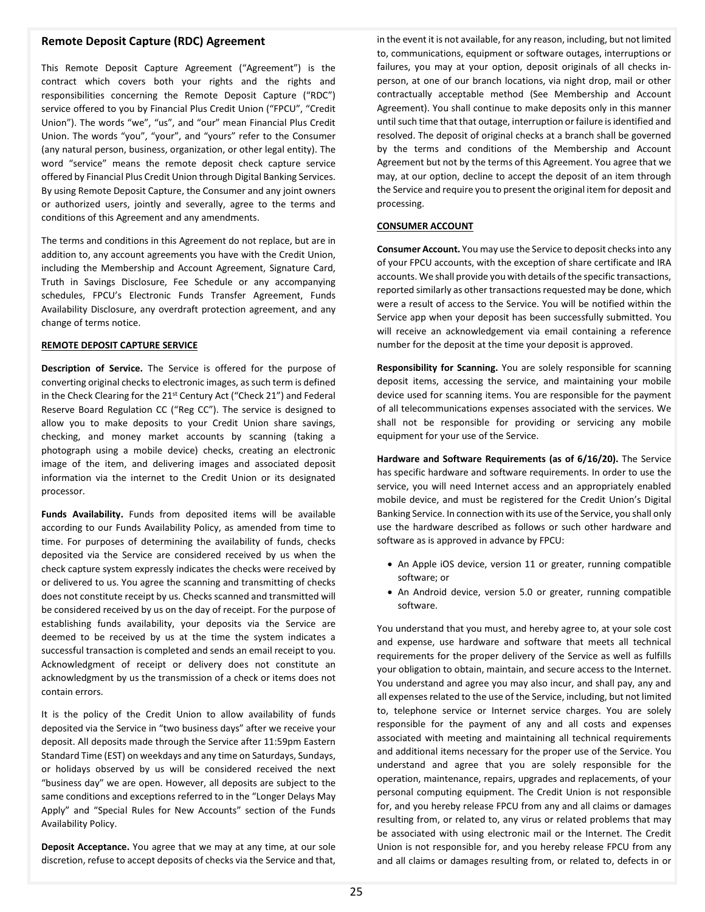# **Remote Deposit Capture (RDC) Agreement**

This Remote Deposit Capture Agreement ("Agreement") is the contract which covers both your rights and the rights and responsibilities concerning the Remote Deposit Capture ("RDC") service offered to you by Financial Plus Credit Union ("FPCU", "Credit Union"). The words "we", "us", and "our" mean Financial Plus Credit Union. The words "you", "your", and "yours" refer to the Consumer (any natural person, business, organization, or other legal entity). The word "service" means the remote deposit check capture service offered by Financial Plus Credit Union through Digital Banking Services. By using Remote Deposit Capture, the Consumer and any joint owners or authorized users, jointly and severally, agree to the terms and conditions of this Agreement and any amendments.

The terms and conditions in this Agreement do not replace, but are in addition to, any account agreements you have with the Credit Union, including the Membership and Account Agreement, Signature Card, Truth in Savings Disclosure, Fee Schedule or any accompanying schedules, FPCU's Electronic Funds Transfer Agreement, Funds Availability Disclosure, any overdraft protection agreement, and any change of terms notice.

## **REMOTE DEPOSIT CAPTURE SERVICE**

**Description of Service.** The Service is offered for the purpose of converting original checks to electronic images, as such term is defined in the Check Clearing for the 21st Century Act ("Check 21") and Federal Reserve Board Regulation CC ("Reg CC"). The service is designed to allow you to make deposits to your Credit Union share savings, checking, and money market accounts by scanning (taking a photograph using a mobile device) checks, creating an electronic image of the item, and delivering images and associated deposit information via the internet to the Credit Union or its designated processor.

**Funds Availability.** Funds from deposited items will be available according to our Funds Availability Policy, as amended from time to time. For purposes of determining the availability of funds, checks deposited via the Service are considered received by us when the check capture system expressly indicates the checks were received by or delivered to us. You agree the scanning and transmitting of checks does not constitute receipt by us. Checks scanned and transmitted will be considered received by us on the day of receipt. For the purpose of establishing funds availability, your deposits via the Service are deemed to be received by us at the time the system indicates a successful transaction is completed and sends an email receipt to you. Acknowledgment of receipt or delivery does not constitute an acknowledgment by us the transmission of a check or items does not contain errors.

It is the policy of the Credit Union to allow availability of funds deposited via the Service in "two business days" after we receive your deposit. All deposits made through the Service after 11:59pm Eastern Standard Time (EST) on weekdays and any time on Saturdays, Sundays, or holidays observed by us will be considered received the next "business day" we are open. However, all deposits are subject to the same conditions and exceptions referred to in the "Longer Delays May Apply" and "Special Rules for New Accounts" section of the Funds Availability Policy.

**Deposit Acceptance.** You agree that we may at any time, at our sole discretion, refuse to accept deposits of checks via the Service and that,

in the event it is not available, for any reason, including, but not limited to, communications, equipment or software outages, interruptions or failures, you may at your option, deposit originals of all checks inperson, at one of our branch locations, via night drop, mail or other contractually acceptable method (See Membership and Account Agreement). You shall continue to make deposits only in this manner until such time that that outage, interruption or failure is identified and resolved. The deposit of original checks at a branch shall be governed by the terms and conditions of the Membership and Account Agreement but not by the terms of this Agreement. You agree that we may, at our option, decline to accept the deposit of an item through the Service and require you to present the original item for deposit and processing.

# **CONSUMER ACCOUNT**

**Consumer Account.** You may use the Service to deposit checks into any of your FPCU accounts, with the exception of share certificate and IRA accounts. We shall provide you with details of the specific transactions, reported similarly as other transactions requested may be done, which were a result of access to the Service. You will be notified within the Service app when your deposit has been successfully submitted. You will receive an acknowledgement via email containing a reference number for the deposit at the time your deposit is approved.

**Responsibility for Scanning.** You are solely responsible for scanning deposit items, accessing the service, and maintaining your mobile device used for scanning items. You are responsible for the payment of all telecommunications expenses associated with the services. We shall not be responsible for providing or servicing any mobile equipment for your use of the Service.

**Hardware and Software Requirements (as of 6/16/20).** The Service has specific hardware and software requirements. In order to use the service, you will need Internet access and an appropriately enabled mobile device, and must be registered for the Credit Union's Digital Banking Service. In connection with its use of the Service, you shall only use the hardware described as follows or such other hardware and software as is approved in advance by FPCU:

- An Apple iOS device, version 11 or greater, running compatible software; or
- An Android device, version 5.0 or greater, running compatible software.

You understand that you must, and hereby agree to, at your sole cost and expense, use hardware and software that meets all technical requirements for the proper delivery of the Service as well as fulfills your obligation to obtain, maintain, and secure access to the Internet. You understand and agree you may also incur, and shall pay, any and all expenses related to the use of the Service, including, but not limited to, telephone service or Internet service charges. You are solely responsible for the payment of any and all costs and expenses associated with meeting and maintaining all technical requirements and additional items necessary for the proper use of the Service. You understand and agree that you are solely responsible for the operation, maintenance, repairs, upgrades and replacements, of your personal computing equipment. The Credit Union is not responsible for, and you hereby release FPCU from any and all claims or damages resulting from, or related to, any virus or related problems that may be associated with using electronic mail or the Internet. The Credit Union is not responsible for, and you hereby release FPCU from any and all claims or damages resulting from, or related to, defects in or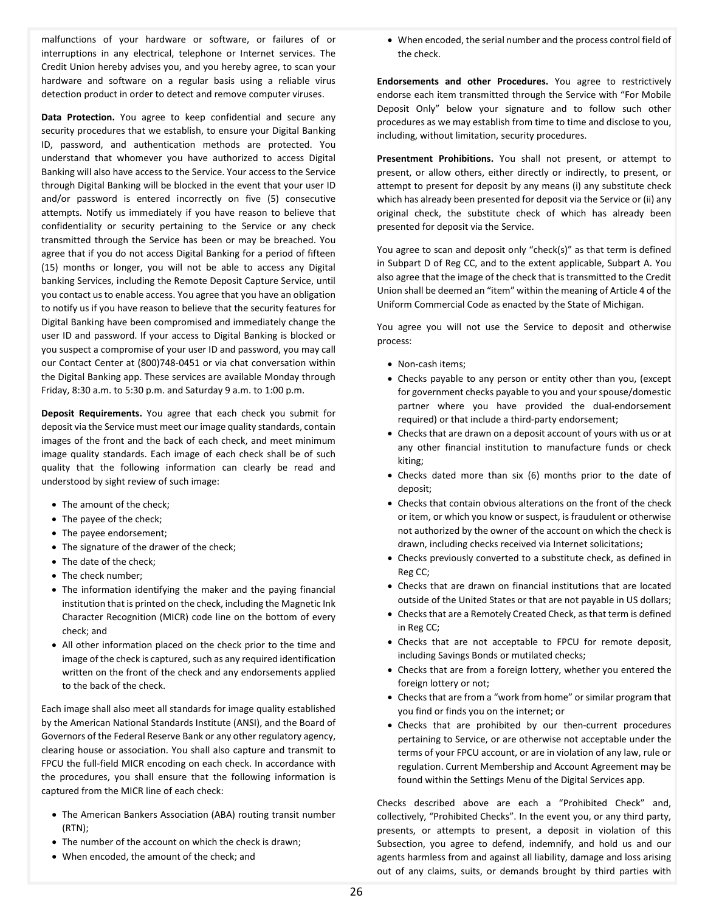malfunctions of your hardware or software, or failures of or interruptions in any electrical, telephone or Internet services. The Credit Union hereby advises you, and you hereby agree, to scan your hardware and software on a regular basis using a reliable virus detection product in order to detect and remove computer viruses.

**Data Protection.** You agree to keep confidential and secure any security procedures that we establish, to ensure your Digital Banking ID, password, and authentication methods are protected. You understand that whomever you have authorized to access Digital Banking will also have access to the Service. Your access to the Service through Digital Banking will be blocked in the event that your user ID and/or password is entered incorrectly on five (5) consecutive attempts. Notify us immediately if you have reason to believe that confidentiality or security pertaining to the Service or any check transmitted through the Service has been or may be breached. You agree that if you do not access Digital Banking for a period of fifteen (15) months or longer, you will not be able to access any Digital banking Services, including the Remote Deposit Capture Service, until you contact us to enable access. You agree that you have an obligation to notify us if you have reason to believe that the security features for Digital Banking have been compromised and immediately change the user ID and password. If your access to Digital Banking is blocked or you suspect a compromise of your user ID and password, you may call our Contact Center at (800)748-0451 or via chat conversation within the Digital Banking app. These services are available Monday through Friday, 8:30 a.m. to 5:30 p.m. and Saturday 9 a.m. to 1:00 p.m.

**Deposit Requirements.** You agree that each check you submit for deposit via the Service must meet our image quality standards, contain images of the front and the back of each check, and meet minimum image quality standards. Each image of each check shall be of such quality that the following information can clearly be read and understood by sight review of such image:

- The amount of the check;
- The payee of the check;
- The payee endorsement;
- The signature of the drawer of the check;
- The date of the check;
- The check number;
- The information identifying the maker and the paying financial institution that is printed on the check, including the Magnetic Ink Character Recognition (MICR) code line on the bottom of every check; and
- All other information placed on the check prior to the time and image of the check is captured, such as any required identification written on the front of the check and any endorsements applied to the back of the check.

Each image shall also meet all standards for image quality established by the American National Standards Institute (ANSI), and the Board of Governors of the Federal Reserve Bank or any other regulatory agency, clearing house or association. You shall also capture and transmit to FPCU the full-field MICR encoding on each check. In accordance with the procedures, you shall ensure that the following information is captured from the MICR line of each check:

- The American Bankers Association (ABA) routing transit number (RTN);
- The number of the account on which the check is drawn;
- When encoded, the amount of the check; and

• When encoded, the serial number and the process control field of the check.

**Endorsements and other Procedures.** You agree to restrictively endorse each item transmitted through the Service with "For Mobile Deposit Only" below your signature and to follow such other procedures as we may establish from time to time and disclose to you, including, without limitation, security procedures.

**Presentment Prohibitions.** You shall not present, or attempt to present, or allow others, either directly or indirectly, to present, or attempt to present for deposit by any means (i) any substitute check which has already been presented for deposit via the Service or (ii) any original check, the substitute check of which has already been presented for deposit via the Service.

You agree to scan and deposit only "check(s)" as that term is defined in Subpart D of Reg CC, and to the extent applicable, Subpart A. You also agree that the image of the check that is transmitted to the Credit Union shall be deemed an "item" within the meaning of Article 4 of the Uniform Commercial Code as enacted by the State of Michigan.

You agree you will not use the Service to deposit and otherwise process:

- Non-cash items;
- Checks payable to any person or entity other than you, (except for government checks payable to you and your spouse/domestic partner where you have provided the dual-endorsement required) or that include a third-party endorsement;
- Checks that are drawn on a deposit account of yours with us or at any other financial institution to manufacture funds or check kiting;
- Checks dated more than six (6) months prior to the date of deposit;
- Checks that contain obvious alterations on the front of the check or item, or which you know or suspect, is fraudulent or otherwise not authorized by the owner of the account on which the check is drawn, including checks received via Internet solicitations;
- Checks previously converted to a substitute check, as defined in Reg CC;
- Checks that are drawn on financial institutions that are located outside of the United States or that are not payable in US dollars;
- Checks that are a Remotely Created Check, as that term is defined in Reg CC;
- Checks that are not acceptable to FPCU for remote deposit, including Savings Bonds or mutilated checks;
- Checks that are from a foreign lottery, whether you entered the foreign lottery or not;
- Checks that are from a "work from home" or similar program that you find or finds you on the internet; or
- Checks that are prohibited by our then-current procedures pertaining to Service, or are otherwise not acceptable under the terms of your FPCU account, or are in violation of any law, rule or regulation. Current Membership and Account Agreement may be found within the Settings Menu of the Digital Services app.

Checks described above are each a "Prohibited Check" and, collectively, "Prohibited Checks". In the event you, or any third party, presents, or attempts to present, a deposit in violation of this Subsection, you agree to defend, indemnify, and hold us and our agents harmless from and against all liability, damage and loss arising out of any claims, suits, or demands brought by third parties with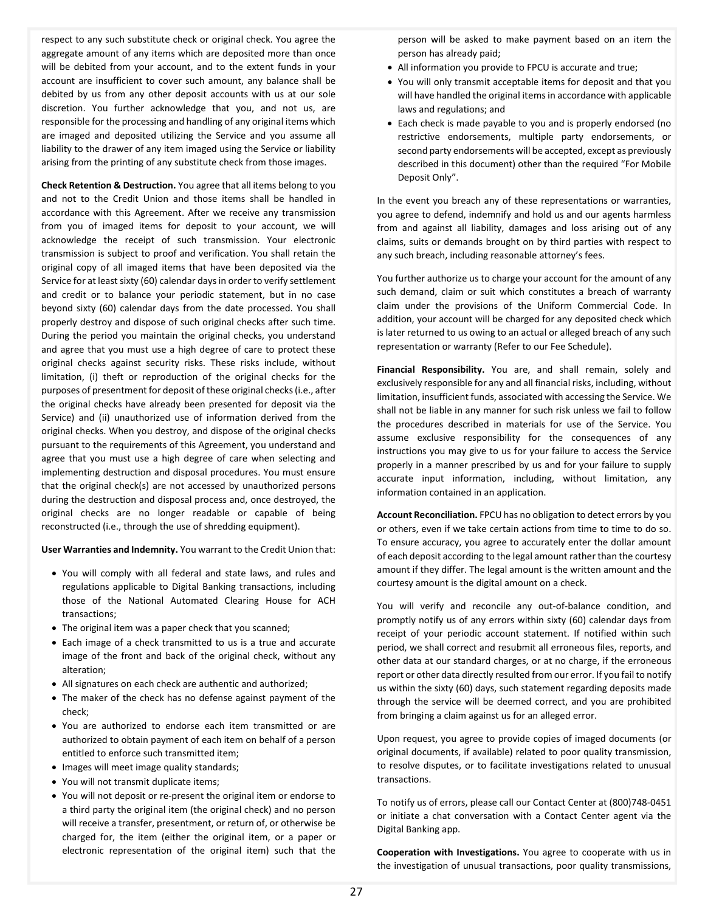respect to any such substitute check or original check. You agree the aggregate amount of any items which are deposited more than once will be debited from your account, and to the extent funds in your account are insufficient to cover such amount, any balance shall be debited by us from any other deposit accounts with us at our sole discretion. You further acknowledge that you, and not us, are responsible for the processing and handling of any original items which are imaged and deposited utilizing the Service and you assume all liability to the drawer of any item imaged using the Service or liability arising from the printing of any substitute check from those images.

**Check Retention & Destruction.** You agree that all items belong to you and not to the Credit Union and those items shall be handled in accordance with this Agreement. After we receive any transmission from you of imaged items for deposit to your account, we will acknowledge the receipt of such transmission. Your electronic transmission is subject to proof and verification. You shall retain the original copy of all imaged items that have been deposited via the Service for at least sixty (60) calendar days in order to verify settlement and credit or to balance your periodic statement, but in no case beyond sixty (60) calendar days from the date processed. You shall properly destroy and dispose of such original checks after such time. During the period you maintain the original checks, you understand and agree that you must use a high degree of care to protect these original checks against security risks. These risks include, without limitation, (i) theft or reproduction of the original checks for the purposes of presentment for deposit of these original checks (i.e., after the original checks have already been presented for deposit via the Service) and (ii) unauthorized use of information derived from the original checks. When you destroy, and dispose of the original checks pursuant to the requirements of this Agreement, you understand and agree that you must use a high degree of care when selecting and implementing destruction and disposal procedures. You must ensure that the original check(s) are not accessed by unauthorized persons during the destruction and disposal process and, once destroyed, the original checks are no longer readable or capable of being reconstructed (i.e., through the use of shredding equipment).

**User Warranties and Indemnity.** You warrant to the Credit Union that:

- You will comply with all federal and state laws, and rules and regulations applicable to Digital Banking transactions, including those of the National Automated Clearing House for ACH transactions;
- The original item was a paper check that you scanned;
- Each image of a check transmitted to us is a true and accurate image of the front and back of the original check, without any alteration;
- All signatures on each check are authentic and authorized;
- The maker of the check has no defense against payment of the check;
- You are authorized to endorse each item transmitted or are authorized to obtain payment of each item on behalf of a person entitled to enforce such transmitted item;
- Images will meet image quality standards;
- You will not transmit duplicate items;
- You will not deposit or re-present the original item or endorse to a third party the original item (the original check) and no person will receive a transfer, presentment, or return of, or otherwise be charged for, the item (either the original item, or a paper or electronic representation of the original item) such that the

person will be asked to make payment based on an item the person has already paid;

- All information you provide to FPCU is accurate and true;
- You will only transmit acceptable items for deposit and that you will have handled the original items in accordance with applicable laws and regulations; and
- Each check is made payable to you and is properly endorsed (no restrictive endorsements, multiple party endorsements, or second party endorsements will be accepted, except as previously described in this document) other than the required "For Mobile Deposit Only".

In the event you breach any of these representations or warranties, you agree to defend, indemnify and hold us and our agents harmless from and against all liability, damages and loss arising out of any claims, suits or demands brought on by third parties with respect to any such breach, including reasonable attorney's fees.

You further authorize us to charge your account for the amount of any such demand, claim or suit which constitutes a breach of warranty claim under the provisions of the Uniform Commercial Code. In addition, your account will be charged for any deposited check which is later returned to us owing to an actual or alleged breach of any such representation or warranty (Refer to our Fee Schedule).

**Financial Responsibility.** You are, and shall remain, solely and exclusively responsible for any and all financial risks, including, without limitation, insufficient funds, associated with accessing the Service. We shall not be liable in any manner for such risk unless we fail to follow the procedures described in materials for use of the Service. You assume exclusive responsibility for the consequences of any instructions you may give to us for your failure to access the Service properly in a manner prescribed by us and for your failure to supply accurate input information, including, without limitation, any information contained in an application.

**Account Reconciliation.** FPCU has no obligation to detect errors by you or others, even if we take certain actions from time to time to do so. To ensure accuracy, you agree to accurately enter the dollar amount of each deposit according to the legal amount rather than the courtesy amount if they differ. The legal amount is the written amount and the courtesy amount is the digital amount on a check.

You will verify and reconcile any out-of-balance condition, and promptly notify us of any errors within sixty (60) calendar days from receipt of your periodic account statement. If notified within such period, we shall correct and resubmit all erroneous files, reports, and other data at our standard charges, or at no charge, if the erroneous report or other data directly resulted from our error. If you fail to notify us within the sixty (60) days, such statement regarding deposits made through the service will be deemed correct, and you are prohibited from bringing a claim against us for an alleged error.

Upon request, you agree to provide copies of imaged documents (or original documents, if available) related to poor quality transmission, to resolve disputes, or to facilitate investigations related to unusual transactions.

To notify us of errors, please call our Contact Center at (800)748-0451 or initiate a chat conversation with a Contact Center agent via the Digital Banking app.

**Cooperation with Investigations.** You agree to cooperate with us in the investigation of unusual transactions, poor quality transmissions,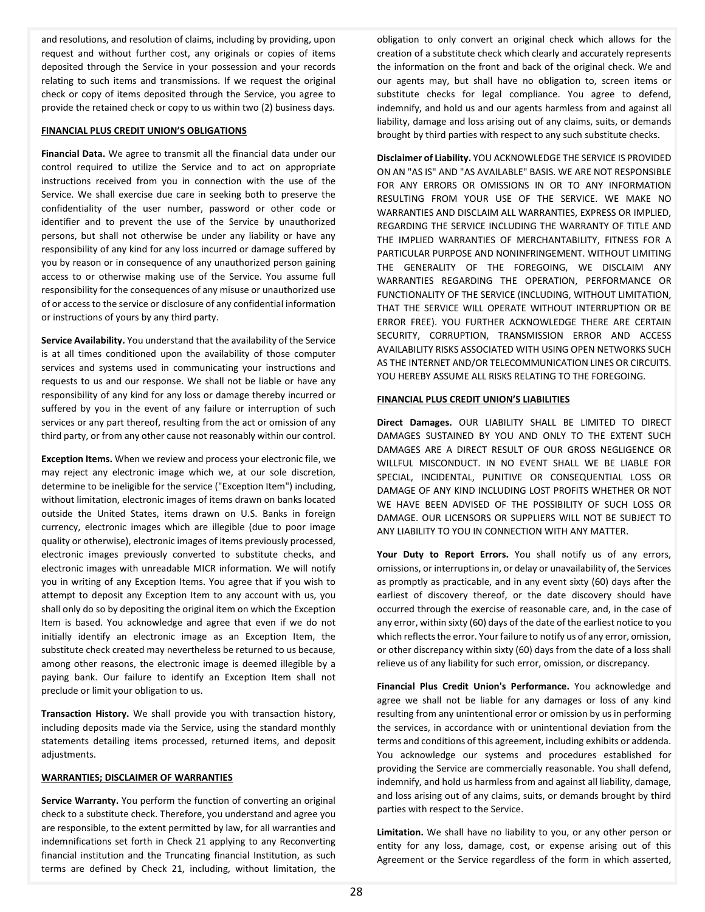and resolutions, and resolution of claims, including by providing, upon request and without further cost, any originals or copies of items deposited through the Service in your possession and your records relating to such items and transmissions. If we request the original check or copy of items deposited through the Service, you agree to provide the retained check or copy to us within two (2) business days.

### **FINANCIAL PLUS CREDIT UNION'S OBLIGATIONS**

**Financial Data.** We agree to transmit all the financial data under our control required to utilize the Service and to act on appropriate instructions received from you in connection with the use of the Service. We shall exercise due care in seeking both to preserve the confidentiality of the user number, password or other code or identifier and to prevent the use of the Service by unauthorized persons, but shall not otherwise be under any liability or have any responsibility of any kind for any loss incurred or damage suffered by you by reason or in consequence of any unauthorized person gaining access to or otherwise making use of the Service. You assume full responsibility for the consequences of any misuse or unauthorized use of or access to the service or disclosure of any confidential information or instructions of yours by any third party.

**Service Availability.** You understand that the availability of the Service is at all times conditioned upon the availability of those computer services and systems used in communicating your instructions and requests to us and our response. We shall not be liable or have any responsibility of any kind for any loss or damage thereby incurred or suffered by you in the event of any failure or interruption of such services or any part thereof, resulting from the act or omission of any third party, or from any other cause not reasonably within our control.

**Exception Items.** When we review and process your electronic file, we may reject any electronic image which we, at our sole discretion, determine to be ineligible for the service ("Exception Item") including, without limitation, electronic images of items drawn on banks located outside the United States, items drawn on U.S. Banks in foreign currency, electronic images which are illegible (due to poor image quality or otherwise), electronic images of items previously processed, electronic images previously converted to substitute checks, and electronic images with unreadable MICR information. We will notify you in writing of any Exception Items. You agree that if you wish to attempt to deposit any Exception Item to any account with us, you shall only do so by depositing the original item on which the Exception Item is based. You acknowledge and agree that even if we do not initially identify an electronic image as an Exception Item, the substitute check created may nevertheless be returned to us because, among other reasons, the electronic image is deemed illegible by a paying bank. Our failure to identify an Exception Item shall not preclude or limit your obligation to us.

**Transaction History.** We shall provide you with transaction history, including deposits made via the Service, using the standard monthly statements detailing items processed, returned items, and deposit adjustments.

#### **WARRANTIES; DISCLAIMER OF WARRANTIES**

**Service Warranty.** You perform the function of converting an original check to a substitute check. Therefore, you understand and agree you are responsible, to the extent permitted by law, for all warranties and indemnifications set forth in Check 21 applying to any Reconverting financial institution and the Truncating financial Institution, as such terms are defined by Check 21, including, without limitation, the

obligation to only convert an original check which allows for the creation of a substitute check which clearly and accurately represents the information on the front and back of the original check. We and our agents may, but shall have no obligation to, screen items or substitute checks for legal compliance. You agree to defend, indemnify, and hold us and our agents harmless from and against all liability, damage and loss arising out of any claims, suits, or demands brought by third parties with respect to any such substitute checks.

**Disclaimer of Liability.** YOU ACKNOWLEDGE THE SERVICE IS PROVIDED ON AN "AS IS" AND "AS AVAILABLE" BASIS. WE ARE NOT RESPONSIBLE FOR ANY ERRORS OR OMISSIONS IN OR TO ANY INFORMATION RESULTING FROM YOUR USE OF THE SERVICE. WE MAKE NO WARRANTIES AND DISCLAIM ALL WARRANTIES, EXPRESS OR IMPLIED, REGARDING THE SERVICE INCLUDING THE WARRANTY OF TITLE AND THE IMPLIED WARRANTIES OF MERCHANTABILITY, FITNESS FOR A PARTICULAR PURPOSE AND NONINFRINGEMENT. WITHOUT LIMITING THE GENERALITY OF THE FOREGOING, WE DISCLAIM ANY WARRANTIES REGARDING THE OPERATION, PERFORMANCE OR FUNCTIONALITY OF THE SERVICE (INCLUDING, WITHOUT LIMITATION, THAT THE SERVICE WILL OPERATE WITHOUT INTERRUPTION OR BE ERROR FREE). YOU FURTHER ACKNOWLEDGE THERE ARE CERTAIN SECURITY, CORRUPTION, TRANSMISSION ERROR AND ACCESS AVAILABILITY RISKS ASSOCIATED WITH USING OPEN NETWORKS SUCH AS THE INTERNET AND/OR TELECOMMUNICATION LINES OR CIRCUITS. YOU HEREBY ASSUME ALL RISKS RELATING TO THE FOREGOING.

# **FINANCIAL PLUS CREDIT UNION'S LIABILITIES**

**Direct Damages.** OUR LIABILITY SHALL BE LIMITED TO DIRECT DAMAGES SUSTAINED BY YOU AND ONLY TO THE EXTENT SUCH DAMAGES ARE A DIRECT RESULT OF OUR GROSS NEGLIGENCE OR WILLFUL MISCONDUCT. IN NO EVENT SHALL WE BE LIABLE FOR SPECIAL, INCIDENTAL, PUNITIVE OR CONSEQUENTIAL LOSS OR DAMAGE OF ANY KIND INCLUDING LOST PROFITS WHETHER OR NOT WE HAVE BEEN ADVISED OF THE POSSIBILITY OF SUCH LOSS OR DAMAGE. OUR LICENSORS OR SUPPLIERS WILL NOT BE SUBJECT TO ANY LIABILITY TO YOU IN CONNECTION WITH ANY MATTER.

**Your Duty to Report Errors.** You shall notify us of any errors, omissions, or interruptions in, or delay or unavailability of, the Services as promptly as practicable, and in any event sixty (60) days after the earliest of discovery thereof, or the date discovery should have occurred through the exercise of reasonable care, and, in the case of any error, within sixty (60) days of the date of the earliest notice to you which reflects the error. Your failure to notify us of any error, omission, or other discrepancy within sixty (60) days from the date of a loss shall relieve us of any liability for such error, omission, or discrepancy.

**Financial Plus Credit Union's Performance.** You acknowledge and agree we shall not be liable for any damages or loss of any kind resulting from any unintentional error or omission by us in performing the services, in accordance with or unintentional deviation from the terms and conditions of this agreement, including exhibits or addenda. You acknowledge our systems and procedures established for providing the Service are commercially reasonable. You shall defend, indemnify, and hold us harmless from and against all liability, damage, and loss arising out of any claims, suits, or demands brought by third parties with respect to the Service.

**Limitation.** We shall have no liability to you, or any other person or entity for any loss, damage, cost, or expense arising out of this Agreement or the Service regardless of the form in which asserted,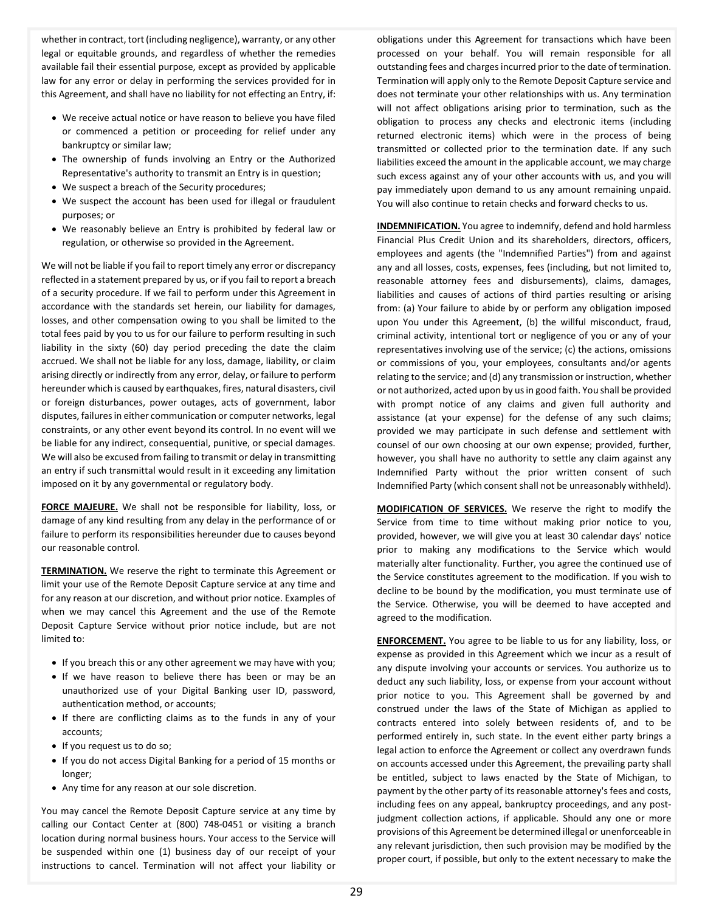whether in contract, tort (including negligence), warranty, or any other legal or equitable grounds, and regardless of whether the remedies available fail their essential purpose, except as provided by applicable law for any error or delay in performing the services provided for in this Agreement, and shall have no liability for not effecting an Entry, if:

- We receive actual notice or have reason to believe you have filed or commenced a petition or proceeding for relief under any bankruptcy or similar law;
- The ownership of funds involving an Entry or the Authorized Representative's authority to transmit an Entry is in question;
- We suspect a breach of the Security procedures;
- We suspect the account has been used for illegal or fraudulent purposes; or
- We reasonably believe an Entry is prohibited by federal law or regulation, or otherwise so provided in the Agreement.

We will not be liable if you fail to report timely any error or discrepancy reflected in a statement prepared by us, or if you fail to report a breach of a security procedure. If we fail to perform under this Agreement in accordance with the standards set herein, our liability for damages, losses, and other compensation owing to you shall be limited to the total fees paid by you to us for our failure to perform resulting in such liability in the sixty (60) day period preceding the date the claim accrued. We shall not be liable for any loss, damage, liability, or claim arising directly or indirectly from any error, delay, or failure to perform hereunder which is caused by earthquakes, fires, natural disasters, civil or foreign disturbances, power outages, acts of government, labor disputes, failures in either communication or computer networks, legal constraints, or any other event beyond its control. In no event will we be liable for any indirect, consequential, punitive, or special damages. We will also be excused from failing to transmit or delay in transmitting an entry if such transmittal would result in it exceeding any limitation imposed on it by any governmental or regulatory body.

**FORCE MAJEURE.** We shall not be responsible for liability, loss, or damage of any kind resulting from any delay in the performance of or failure to perform its responsibilities hereunder due to causes beyond our reasonable control.

**TERMINATION.** We reserve the right to terminate this Agreement or limit your use of the Remote Deposit Capture service at any time and for any reason at our discretion, and without prior notice. Examples of when we may cancel this Agreement and the use of the Remote Deposit Capture Service without prior notice include, but are not limited to:

- If you breach this or any other agreement we may have with you;
- If we have reason to believe there has been or may be an unauthorized use of your Digital Banking user ID, password, authentication method, or accounts;
- If there are conflicting claims as to the funds in any of your accounts;
- If you request us to do so;
- If you do not access Digital Banking for a period of 15 months or longer;
- Any time for any reason at our sole discretion.

You may cancel the Remote Deposit Capture service at any time by calling our Contact Center at (800) 748-0451 or visiting a branch location during normal business hours. Your access to the Service will be suspended within one (1) business day of our receipt of your instructions to cancel. Termination will not affect your liability or

obligations under this Agreement for transactions which have been processed on your behalf. You will remain responsible for all outstanding fees and charges incurred prior to the date of termination. Termination will apply only to the Remote Deposit Capture service and does not terminate your other relationships with us. Any termination will not affect obligations arising prior to termination, such as the obligation to process any checks and electronic items (including returned electronic items) which were in the process of being transmitted or collected prior to the termination date. If any such liabilities exceed the amount in the applicable account, we may charge such excess against any of your other accounts with us, and you will pay immediately upon demand to us any amount remaining unpaid. You will also continue to retain checks and forward checks to us.

**INDEMNIFICATION.** You agree to indemnify, defend and hold harmless Financial Plus Credit Union and its shareholders, directors, officers, employees and agents (the "Indemnified Parties") from and against any and all losses, costs, expenses, fees (including, but not limited to, reasonable attorney fees and disbursements), claims, damages, liabilities and causes of actions of third parties resulting or arising from: (a) Your failure to abide by or perform any obligation imposed upon You under this Agreement, (b) the willful misconduct, fraud, criminal activity, intentional tort or negligence of you or any of your representatives involving use of the service; (c) the actions, omissions or commissions of you, your employees, consultants and/or agents relating to the service; and (d) any transmission or instruction, whether or not authorized, acted upon by us in good faith. You shall be provided with prompt notice of any claims and given full authority and assistance (at your expense) for the defense of any such claims; provided we may participate in such defense and settlement with counsel of our own choosing at our own expense; provided, further, however, you shall have no authority to settle any claim against any Indemnified Party without the prior written consent of such Indemnified Party (which consent shall not be unreasonably withheld).

**MODIFICATION OF SERVICES.** We reserve the right to modify the Service from time to time without making prior notice to you, provided, however, we will give you at least 30 calendar days' notice prior to making any modifications to the Service which would materially alter functionality. Further, you agree the continued use of the Service constitutes agreement to the modification. If you wish to decline to be bound by the modification, you must terminate use of the Service. Otherwise, you will be deemed to have accepted and agreed to the modification.

**ENFORCEMENT.** You agree to be liable to us for any liability, loss, or expense as provided in this Agreement which we incur as a result of any dispute involving your accounts or services. You authorize us to deduct any such liability, loss, or expense from your account without prior notice to you. This Agreement shall be governed by and construed under the laws of the State of Michigan as applied to contracts entered into solely between residents of, and to be performed entirely in, such state. In the event either party brings a legal action to enforce the Agreement or collect any overdrawn funds on accounts accessed under this Agreement, the prevailing party shall be entitled, subject to laws enacted by the State of Michigan, to payment by the other party of its reasonable attorney's fees and costs, including fees on any appeal, bankruptcy proceedings, and any postjudgment collection actions, if applicable. Should any one or more provisions of this Agreement be determined illegal or unenforceable in any relevant jurisdiction, then such provision may be modified by the proper court, if possible, but only to the extent necessary to make the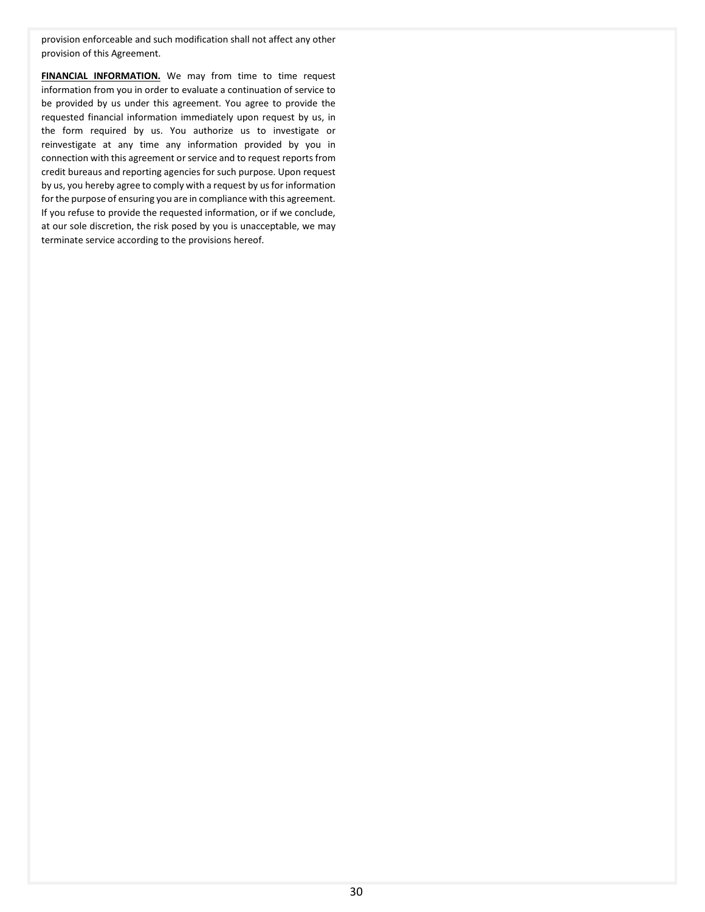provision enforceable and such modification shall not affect any other provision of this Agreement.

**FINANCIAL INFORMATION.** We may from time to time request information from you in order to evaluate a continuation of service to be provided by us under this agreement. You agree to provide the requested financial information immediately upon request by us, in the form required by us. You authorize us to investigate or reinvestigate at any time any information provided by you in connection with this agreement or service and to request reports from credit bureaus and reporting agencies for such purpose. Upon request by us, you hereby agree to comply with a request by us for information for the purpose of ensuring you are in compliance with this agreement. If you refuse to provide the requested information, or if we conclude, at our sole discretion, the risk posed by you is unacceptable, we may terminate service according to the provisions hereof.